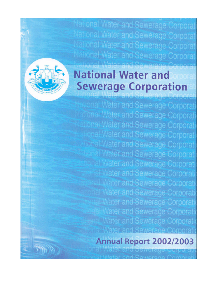al Water and Sewerage Corpora ial Water and Sewerage Corpora tional Water and Sewerage Corpora ational Water and Sewerage Corpor.

# **National Water and Sewerage Corporation**

wonal Water and Sewerage Corporat **Tonal Water and Sewerage Corporat** tional Water and Sewerage Corporal nal Water and Sewerage Corporat **Shall Water and Sewerage Corporat** ial Water and Sewerage Corporati hal Water and Sewerage Corporat **Nater and Sewerage Corporat** ater and Sewerage Corporat er and Sewerage Corporat al Water and Sewerage Corporal ater and Sewerage Corporal **Water and Sewerage Corpora** 

# Annual Report 2002/2003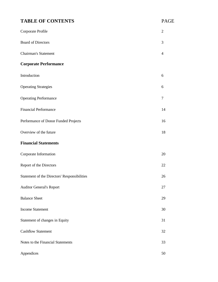# **TABLE OF CONTENTS** PAGE

| Corporate Profile                            | $\overline{2}$ |
|----------------------------------------------|----------------|
| <b>Board of Directors</b>                    | 3              |
| <b>Chairman's Statement</b>                  | 4              |
| <b>Corporate Performance</b>                 |                |
| Introduction                                 | 6              |
| <b>Operating Strategies</b>                  | 6              |
| <b>Operating Performance</b>                 | 7              |
| <b>Financial Performance</b>                 | 14             |
| Performance of Donor Funded Projects         | 16             |
| Overview of the future                       | 18             |
| <b>Financial Statements</b>                  |                |
| Corporate Information                        | 20             |
| Report of the Directors                      | 22             |
| Statement of the Directors' Responsibilities | 26             |
| <b>Auditor General's Report</b>              | 27             |
| <b>Balance Sheet</b>                         | 29             |
| <b>Income Statement</b>                      | 30             |
| Statement of changes in Equity               | 31             |
| <b>Cashflow Statement</b>                    | 32             |
| Notes to the Financial Statements            | 33             |
| Appendices                                   | 50             |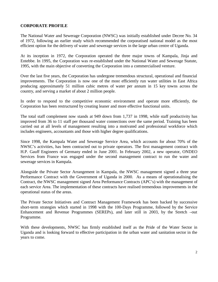# **CORPORATE PROFILE**

The National Water and Sewerage Corporation (NWSC) was initially established under Decree No. 34 of 1972, following an earlier study which recommended the corporatised national model as the most efficient option for the delivery of water and sewerage services in the large urban centre of Uganda.

At its inception in 1972, the Corporation operated the three major towns of Kampala, Jinja and Entebbe. In 1995, the Corporation was re-established under the National Water and Sewerage Statute, 1995, with the main objective of converting the Corporation into a commercialised venture.

Over the last five years, the Corporation has undergone tremendous structural, operational and financial improvements. The Corporation is now one of the most efficiently run water utilities in East Africa producing approximately 51 million cubic metres of water per annum in 15 key towns across the country, and serving a market of about 2 million people.

In order to respond to the competitive economic environment and operate more efficiently, the Corporation has been restructured by creating leaner and more effective functional units.

The total staff complement now stands at 949 down from 1,737 in 1998, while staff productivity has improved from 36 to 11 staff per thousand water connections over the same period. Training has been carried out at all levels of management resulting into a motivated and professional workforce which includes engineers, accountants and those with higher degree qualifications.

Since 1998, the Kampala Water and Sewerage Service Area, which accounts for about 70% of the NWSC's activities, has been contracted out to private operators. The first management contract with H.P. Gauff Engineers of Germany ended in June 2001. In February 2002, a new operator, ONDEO Services from France was engaged under the second management contract to run the water and sewerage services in Kampala.

Alongside the Private Sector Arrangement in Kampala, the NWSC management signed a three year Performance Contract with the Government of Uganda in 2000. As a means of operationalising the Contract, the NWSC management signed Area Performance Contracts (APC's) with the management of each service Area. The implementation of these contracts have realised tremendous improvements in the operational status of the areas.

The Private Sector Initiatives and Contract Management Framework has been backed by successive short-term strategies which started in 1998 with the 100-Days Programme, followed by the Service Enhancement and Revenue Programmes (SEREPs), and later still in 2003, by the Stretch –out Programme.

With these developments, NWSC has firmly established itself as the Pride of the Water Sector in Uganda and is looking forward to effective participation in the urban water and sanitation sector in the years to come.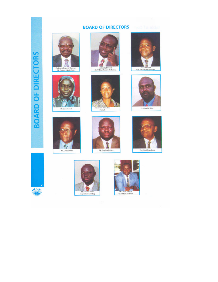# **BOARD OF DIRECTORS**

越













Eng Yorokuma Katwirema











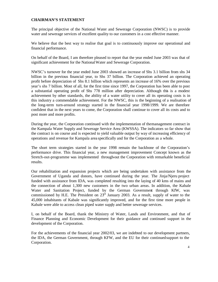#### **CHAIRMAN'S STATEMENT**

The principal objective of the National Water and Sewerage Corporation (NWSC) is to provide water and sewerage services of excellent quality to our customers in a cost effective manner.

We believe that the best way to realise that goal is to continuously improve our operational and financial performance.

On behalf of the Board, I am therefore pleased to report that the year ended June 2003 was that of significant achievement for the National Water and Sewerage Corporation.

NWSC's turnover for the year ended June 2003 showed an increase of Shs 3.1 billion from shs 34 billion in the previous financial year, to Shs 37 billion. The Corporation achieved an operating profit before depreciation of Shs 8.1 billion which represents an increase of 16% over the previous year's shs 7 billion. Most of all, for the first time since 1997, the Corporation has been able to post a substantial operating profit of Shs 778 million after depreciation. Although this is a modest achievement by other standards, the ability of a water utility to cover all its operating costs is in this industry a commendable achievement. For the NWSC, this is the beginning of a realisation of the long-term turn-around strategy started in the financial year 1998/1999. We are therefore confident that in the next years to come, the Corporation shall continue to cover all its costs and to post more and more profits.

During the year, the Corporation continued with the implementation of the management contract in the Kampala Water Supply and Sewerage Service Area (KWSSA). The indicators so far show that the contract is on course and is expected to yield valuable output by way of increasing efficiency of operations and revenue for Kampala area specifically and for the Corporation as a whole.

The short term strategies started in the year 1998 remain the backbone of the Corporation's performance drive. This financial year, a new management improvement Concept known as the Stretch-out-programme was implemented through-out the Corporation with remarkable beneficial results.

Our rehabilitation and expansion projects which are being undertaken with assistance from the Government of Uganda and donors, have continued during the year. The Jinja/Njeru project funded with assistance from IDA, was completed resulting into the laying of 40 kms of mains and the connection of about 1,300 new customers in the two urban areas. In addition, the Kabale Water and Sanitation Project, funded by the German Government through KfW, was commissioned by H.E. The President on  $23<sup>rd</sup>$  January 2003. As a result, supply of water to the 45,000 inhabitants of Kabale was significantly improved, and for the first time more people in Kabale were able to access clean piped water supply and better sewerage services.

I, on behalf of the Board, thank the Ministry of Water, Lands and Environment, and that of Finance Planning and Economic Development for their guidance and continued support in the development of the Corporation.

For the achievements of the financial year 2002/03, we are indebted to our development partners, the IDA, the German Government, through KFW, and the EU for their continuedsupport to the Corporation.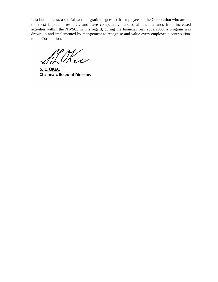Last but not least, a special word of gratitude goes to the employees of the Corporation who are the most important resource, and have competently handled all the demands from increased activities within the NWSC. In this regard, during the financial year 2002/2003, a program was drawn up and implemented by management to recognise and value every employee's contribution to the Corporation.

S. L. OKEC **Chairman, Board of Directors**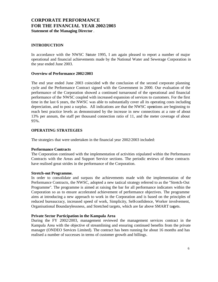# **CORPORATE PERFORMANCE FOR THE FINANCIAL YEAR 2002/2003 Statement of the Managing Director** .

## **INTRODUCTION**

In accordance with the NWSC Statute 1995, I am again pleased to report a number of major operational and financial achievements made by the National Water and Sewerage Corporation in the year ended June 2003.

#### **Overview of Performance 2002/2003**

The end year ended June 2003 coincided with the conclusion of the second corporate planning cycle and the Performance Contract signed with the Government in 2000. Our evaluation of the performance of the Corporation showed a continued turnaround of the operational and financial performance of the NWSC coupled with increased expansion of services to customers. For the first time in the last 6 years, the NWSC was able to substantially cover all its operating costs including depreciation, and to post a surplus. All indications are that the NWSC operations are beginning to reach best practice levels as demonstrated by the increase in new connections at a rate of about 13% per annum, the staff per thousand connection ratio of 11, and the meter coverage of about 95%.

#### **OPERATING STRATEGIES**

The strategies that were undertaken in the financial year 2002/2003 included:

#### **Performance Contracts**

The Corporation continued with the implementation of activities stipulated within the Performance Contracts with the Areas and Support Service sections. The periodic reviews of these contracts have realised great strides in the performance of the Corporation.

#### **Stretch-out Programme.**

In order to consolidate and surpass the achievements made with the implementation of the Performance Contracts, the NWSC, adopted a new tactical strategy referred to as the "Stretch-Out Programme". The programme is aimed at raising the bar for all performance indicators within the Corporation so as to ensure accelerated achievement of performance objectives. The programme aims at introducing a new approach to work in the Corporation and is based on the principles of reduced bureaucracy, increased speed of work, Simplicity, Self-confidence, Worker involvement, Organisational Boundarylessness, and Stretched targets, which are far above SMART targets.

#### **Private Sector Participation in the Kampala Area**

During the FY 2002/2003, management reviewed the management services contract in the Kampala Area with the objective of streamlining and ensuring continued benefits from the private manager (ONDEO Services Limited). The contract has been running for about 16 months and has realised a number of successes in terms of customer growth and billings.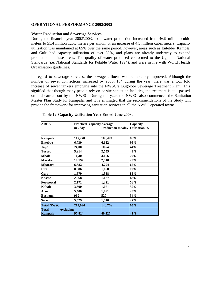#### **OPERATIONAL PERFORMANCE 2002/2003**

#### **Water Production and Sewerage Services**

During the financial year 2002/2003, total water production increased from 46.9 million cubic meters to 51.4 million cubic meters per annum or an increase of 4.5 million cubic meters. Capacity utilisation was maintained at 65% over the same period, however, areas such as Entebbe, Kampla and Gulu had capacity utilisation of over 80%, and plans are already underway to expand production in these areas. The quality of water produced conformed to the Uganda National Standards (i.e. National Standards for Potable Water 1994), and were in line with World Health Organisation guidelines.

In regard to sewerage services, the sewage effluent was remarkably improved. Although the number of sewer connections increased by about 104 during the year, there was a four fold increase of sewer tankers emptying into the NWSC's Bugolobi Sewerage Treatment Plant. This signified that though many people rely on on-site sanitation facilities, the treatment is still passed on and carried out by the NWSC. During the year, the NWSC also commenced the Sanitation Master Plan Study for Kampala, and it is envisaged that the recommendations of the Study will provide the framework for improving sanitation services in all the NWSC operated towns.

| <b>AREA</b>                   | <b>Practical capacity</b> Average<br>m3/day | Production m3/day Utilisation % | Capacity |
|-------------------------------|---------------------------------------------|---------------------------------|----------|
| Kampala                       | 117,270                                     | 100,449                         | 86%      |
| Entebbe                       | 6,730                                       | 6,612                           | 98%      |
| Jinja                         | 24,000                                      | 10,645                          | 44%      |
| Tororo                        | 5,914                                       | 2,555                           | 43%      |
| <b>Mbale</b>                  | 14.408                                      | 4,166                           | 29%      |
| <b>Masaka</b>                 | 10,197                                      | 2,510                           | 25%      |
| <b>Mbarara</b>                | 6,382                                       | 4,294                           | 67%      |
| Lira                          | 8,586                                       | 1,668                           | 19%      |
| Gulu                          | 1,579                                       | 1,338                           | 85%      |
| <b>Kasese</b>                 | 2,368                                       | 1,127                           | 48%      |
| <b>Fortportal</b>             | 2,171                                       | 1,221                           | 56%      |
| Kabale                        | 3,600                                       | 1,071                           | 30%      |
| Arua                          | 5,400                                       | 1,091                           | 20%      |
| <b>Bushenyi</b>               | 960                                         | 520                             | 54%      |
| Soroti                        | 5,529                                       | 1,510                           | 27%      |
| <b>Total NWSC</b>             | 215,094                                     | 140,776                         | 65%      |
| excluding<br>Total<br>Kampala | 97,824                                      | 40,327                          | 41%      |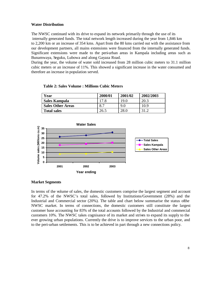#### **Water Distribution**

The NWSC continued with its drive to expand its network primarily through the use of its internally generated funds. The total network length increased during the year from 1,846 km to 2,200 km or an increase of 354 kms. Apart from the 80 kms carried out with the assistance from our development partners, all mains extensions were financed from the internally generated funds. Significant extensions were made to the peri-urban areas in Kampala including areas such as Bunamwaya, Seguku, Lubowa and along Gayaza Road.

During the year, the volume of water sold increased from 28 million cubic meters to 31.1 million cubic meters or an increase of 11%. This showed a significant increase in the water consumed and therefore an increase in population served.

| Year                     | 2000/01 | 2001/02     | 2002/2003 |
|--------------------------|---------|-------------|-----------|
| Sales Kampala            | !7.8    | 19.0        |           |
| <b>Sales Other Areas</b> |         | 9.0         | 10.9      |
| <b>Total sales</b>       | 26.5    | <b>28.0</b> |           |

**Table 2: Sales Volume : Millions Cubic Meters**



#### **Market Segments**

In terms of the volume of sales, the domestic customers comprise the largest segment and account for 47.2% of the NWSC's total sales, followed by Institutions/Government (28%) and the Industrial and Commercial sector  $(20\%)$ . The table and chart below summarise the status of the NWSC market. In terms of connections, the domestic customers still constitute the largest customer base accounting for 83% of the total accounts followed by the Industrial and commercial customers 10%. The NWSC takes cognisance of its market and strives to expand its supply to the ever growing urban populations. Currently the drive is to improve services to the urban poor, and to the peri-urban settlements. This is to be achieved in part through a new connections policy.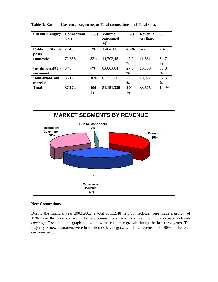| <b>Consumer category</b>         | <b>Connections</b><br>No.s | $(\%)$               | Volume<br>consumed<br>$\mathbf{M}^3$ | $(\%)$               | <b>Revenue</b><br><b>Millions</b><br>shs | $\frac{0}{0}$ |
|----------------------------------|----------------------------|----------------------|--------------------------------------|----------------------|------------------------------------------|---------------|
| <b>Public</b><br>Stand-<br>posts | 2,615                      | 3%                   | 1,464,115                            | 4.7%                 | 672                                      | 2%            |
| <b>Domestic</b>                  | 72,353                     | 83%                  | 14,703,451                           | 47.2<br>%            | 11,661                                   | 34.7<br>$\%$  |
| Institutional/G o<br>vernment    | 3,487                      | 4%                   | 8,660,084                            | 27.8<br>$\%$         | 10,350                                   | 30.8<br>$\%$  |
| <b>Industrial/Com</b><br>mercial | 8,717                      | 10%                  | 6,323,730                            | 20.3<br>%            | 10,922                                   | 32.5<br>$\%$  |
| <b>Total</b>                     | 87,172                     | 100<br>$\frac{6}{6}$ | 31,151,380                           | 100<br>$\frac{0}{0}$ | 33,605                                   | 100%          |

**Table 3: Ratio of Custom er segments to Total connections and Total sales**



#### **New Connections**

During the financial year 2002/2003, a total of 11,548 new connections were made a growth of 15% from the previous year. The new connections were as a result of the increased network coverage. The table and graph below show the customer growth during the last three years. The majority of new customers were in the domestic category, which represents about 80% of the total customer growth.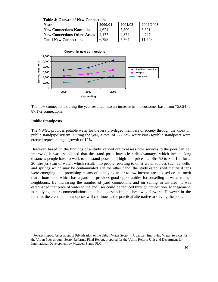**Table 4: Growth of New Connections** 

| Year                               | 2000/01 | 2001/02 | 2002/2003 |
|------------------------------------|---------|---------|-----------|
| <b>New Connections Kampala</b>     | 4.621   | 5,390   | 6.821     |
| <b>New Connections Other Areas</b> | 2.177   | 2,374   | 4.727     |
| <b>Total New Connections</b>       | 6,798   | 7.764   | 11,548    |



The new connections during the year resulted into an increase in the customer base from 75,624 to 87,172 connections.

#### **Public Standposts**

The NWSC provides potable water for the less privileged members of society through the kiosk or public standpipe system. During the year, a total of 277 new water kiosks/public standposts were erected representing a growth of 12%.

However, based on the findings of a study carried out to assess how services to the poor can be improved, it was established that the stand posts have clear disadvantages which include long distances people have to walk to the stand posts, and high unit prices i.e. Shs 50 to Shs 100 for a 20 litre jerrycan of water, which results into people resorting to other water sources such as wells and springs which may be contaminated. On the other hand, the study established that yard taps were emerging as a promising means of supplying water to low income areas based on the merit that a household which has a yard tap provides good opportunities for on-selling of water to the neighbours. By increasing the number of yard connections and on selling in an area, it was established that price of water to the end user could be reduced through competition. Management is studying the recommendations in a bid to establish the best way forward. However in the interim, the erection of standposts will continue as the practical alternative to serving the poor.

 1 Poverty Impact Assessment of Privatisation of the Urban Water Sector in Uganda – Improving Water Services for the Urban Poor through Sector Reforms, Final Report, prepared for the Utility Reform Unit and Department for International Development by Maxwell Stamp PLC.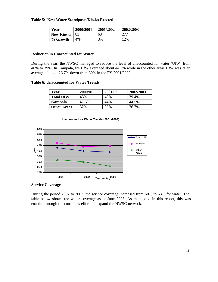#### **Table 5: New Water Standposts/Kiosks Erected**

| Year              | 2000/2001 | 2001/2002 | 2002/2003 |
|-------------------|-----------|-----------|-----------|
| <b>New Kiosks</b> | 83        | 68        | 277       |
| % Growth          | $4\%$     | 3%        | 12%       |

#### **Reduction in Unaccounted for Water**

During the year, the NWSC managed to reduce the level of unaccounted for water (UfW) from 40% to 39%. In Kampala, the UfW averaged about 44.5% while in the other areas UfW was at an average of about 26.7% down from 30% in the FY 2001/2002.

#### **Table 6: Unaccounted for Water Trends**

| Year               | 2000/01 | 2001/02 | 2002/2003 |
|--------------------|---------|---------|-----------|
| <b>Total UfW</b>   | 43%     | 40%     | 39.4%     |
| <b>Kampala</b>     | 47.5%   | 44%     | 44.5%     |
| <b>Other Areas</b> | 32%     | 30%     | 26.7%     |





**Service Coverage** 

During the period 2002 to 2003, the service coverage increased from 60% to 63% for water. The table below shows the water coverage as at June 2003. As mentioned in this report, this was enabled through the conscious efforts to expand the NWSC network.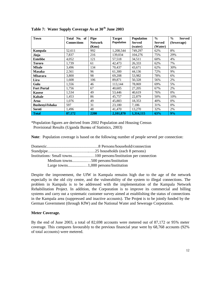| <b>Town</b>            | Total No. of       | <b>Pipe</b>    | <b>Target</b>     | <b>Population</b> | $\frac{6}{6}$ | $\frac{6}{6}$<br><b>Served</b> |
|------------------------|--------------------|----------------|-------------------|-------------------|---------------|--------------------------------|
|                        | <b>Connections</b> | <b>Network</b> | <b>Population</b> | <b>Served</b>     | <b>Served</b> | (Sewerage)                     |
|                        |                    | (Kms)          |                   | (water)           | (Water)       |                                |
| Kampala                | 52,611             | 992            | 1,208,544         | 749,297           | 62%           | 8%                             |
| Jinja                  | 7,837              | 216            | 139,034           | 104,276           | 75%           | 29%                            |
| <b>Entebbe</b>         | 4,052              | 121            | 57,518            | 34,511            | 60%           | 4%                             |
| <b>Tororo</b>          | 1,739              | 61             | 42,473            | 26,333            | 62%           | 7%                             |
| <b>Mbale</b>           | 3,496              | 134            | 70.437            | 43,671            | 62%           | 30%                            |
| <b>Masaka</b>          | 2,561              | 96             | 61,300            | 44,136            | 72%           | 9%                             |
| <b>Mbarara</b>         | 3,800              | 98             | 69,208            | 53,982            | 78%           | 6%                             |
| Lira                   | 1,608              | 106            | 89,871            | 50,328            | 56%           | 2%                             |
| Gulu                   | 1,556              | 46             | 113,144           | 78,069            | 69%           | 5%                             |
| <b>Fort Portal</b>     | 1,756              | 67             | 40.605            | 27,205            | 67%           | 2%                             |
| <b>Kasese</b>          | 1,534              | 49             | 53,446            | 40.619            | 76%           | 0%                             |
| <b>Kabale</b>          | 1,453              | 86             | 45,757            | 22,879            | 50%           | 10%                            |
| Arua                   | 1,076              | 49             | 45,883            | 18,353            | 40%           | 0%                             |
| <b>Bushenyi/Ishaka</b> | 597                | 31             | 23,180            | 7,186             | 31%           | 0%                             |
| Soroti                 | 1,496              | 48             | 41,470            | 13,270            | 32%           | 2%                             |
| <b>Total</b>           | 87,172             | 2200           | 2.101.870         | 1,314,115         | 63%           | 9%                             |

**Table 7: Water Supply Coverage As at 30th June 2003**

\*Population figures are derived from 2002 Population and Housing Census Provisional Results (Uganda Bureau of Statistics, 2003)

**Note**: Population coverage is based on the following number of people served per connection:

| Medium towns500 persons/Institution |
|-------------------------------------|
|                                     |

Despite the improvement, the UfW in Kampala remains high due to the age of the network especially in the old city centre, and the vulnerability of the system to illegal connections. The problem in Kampala is to be addressed with the implementation of the Kampala Network Rehabilitation Project. In addition, the Corporation is to improve its commercial and billing systems and carry out a systematic customer survey aimed at establishing the status of connections in the Kampala area (suppressed and inactive accounts). The Project is to be jointly funded by the German Government (through KfW) and the National Water and Sewerage Corporation.

#### **Meter Coverage.**

By the end of June 2003, a total of 82,698 accounts were metered out of 87,172 or 95% meter coverage. This compares favourably to the previous financial year were by 68,768 accounts (92% of total accounts) were metered.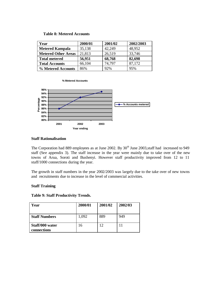#### **Table 8: Metered Accounts**

| Year                       | 2000/01 | 2001/02 | 2002/2003 |
|----------------------------|---------|---------|-----------|
| <b>Metered Kampala</b>     | 35,138  | 42,249  | 48,952    |
| <b>Metered Other Areas</b> | 21,813  | 26,519  | 33,746    |
| <b>Total metered</b>       | 56,951  | 68,768  | 82,698    |
| <b>Total Accounts</b>      | 66,104  | 74,797  | 87,172    |
| % Metered Accounts         | 86%     | 92%     | 95%       |





#### **Staff Rationalisation**

The Corporation had 889 employees as at June 2002. By 30<sup>th</sup> June 2003, staff had increased to 949 staff (See appendix 3). The staff increase in the year were mainly due to take over of the new towns of Arua, Soroti and Bushenyi. However staff productivity improved from 12 to 11 staff/1000 connections during the year.

The growth in staff numbers in the year 2002/2003 was largely due to the take over of new towns and recruitments due to increase in the level of commercial activities.

#### **Staff Training**

|  |  | <b>Table 9: Staff Productivity Trends.</b> |  |
|--|--|--------------------------------------------|--|
|--|--|--------------------------------------------|--|

| Year                           | 2000/01 | 2001/02 | 2002/03 |
|--------------------------------|---------|---------|---------|
| <b>Staff Numbers</b>           | 1,092   | 889     | 949     |
| Staff/000 water<br>connections | 16      | 12      |         |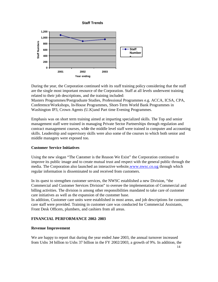

During the year, the Corporation continued with its staff training policy considering that the staff are the single most important resource of the Corporation. Staff at all levels underwent training related to their job descriptions, and the training included:

Masters Programmes/Postgraduate Studies, Professional Programmes e.g. ACCA, ICSA, CPA, Conference/Workshops, In-House Programmes, Short-Term World Bank Programmes in Washington IP3, Crown Agents (U.K) and Part time Evening Programmes.

Emphasis was on short term training aimed at imparting specialized skills. The Top and senior management staff were trained in managing Private Sector Partnerships through regulation and contract management courses, while the middle level staff were trained in computer and accounting skills. Leadership and supervisory skills were also some of the courses to which both senior and middle managers were exposed too.

#### **Customer Service Initiatives**

Using the new slogan "The Customer is the Reason We Exist" the Corporation continued to improve its public image and to create mutual trust and respect with the general public through the media. The Corporation also launched an interactive website, www.nwsc.co.ug, through which regular information is disseminated to and received from customers.

In its quest to strengthen customer services, the NWSC established a new Division, "the Commercial and Customer Services Division" to oversee the implementation of Commercial and billing activities. The division is among other responsibilities mandated to take care of customer care initiatives as well as the expansion of the customer base.

In addition, Customer care units were established in most areas, and job descriptions for customer care staff were provided. Training in customer care was conducted for Commercial Assistants, Front Desk Officers, plumbers, and cashiers from all areas.

#### **FINANCIAL PERFORMANCE 2002- 2003**

#### **Revenue Improvement**

We are happy to report that during the year ended June 2003, the annual turnover increased from Ushs 34 billion to Ushs 37 billion in the FY 2002/2003, a growth of 9%. In addition, the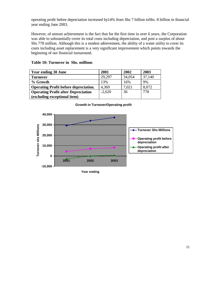operating profit before depreciation increased by14% from Shs 7 billion toShs. 8 billion in financial year ending June 2003.

However, of utmost achievement is the fact that for the first time in over 6 years, the Corporation was able to substantially cover its total costs including depreciation, and post a surplus of about Shs 778 million. Although this is a modest achievement, the ability of a water utility to cover its costs including asset replacement is a very significant improvement which points towards the beginning of our financial turnaround.

| <b>Year ending 30 June</b>                   | 2001     | 2002   | 2003   |
|----------------------------------------------|----------|--------|--------|
| <b>Turnover</b>                              | 29,297   | 34,054 | 37,140 |
| % Growth                                     | 13%      | 16%    | 9%     |
| <b>Operating Profit before depreciation.</b> | 4,369    | 7,021  | 8,072  |
| <b>Operating Profit after Depreciation</b>   | $-2,620$ | 36     | 778    |
| (excluding exceptional item)                 |          |        |        |

#### **Table 10: Turnover in Shs. millions**



#### **Growth in Turnover/Operating profit**

**Year ending**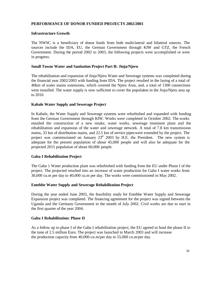#### **PERFORMANCE OF DONOR FUNDED PROJECTS 2002/2003**

#### **Infrastructure Growth**

The NWSC is a beneficiary of donor funds from both multi-lateral and bilateral sources. The sources include the IDA, EU, the German Government through KfW and GTZ, the French Government. During the period 2002 to 2003, the following projects were accomplished or were in progress.

#### **Small Towns Water and Sanitation Project Part B: Jinja/Njeru**

The rehabilitation and expansion of Jinja/Njeru Water and Sewerage systems was completed during the financial year 2002/2003 with funding from IDA. The project resulted in the laying of a total of 40km of water mains extensions, which covered the Njeru Area, and, a total of 1300 connections were installed. The water supply is now sufficient to cover the population in the Jinja/Njeru area up to 2010.

#### **Kabale Water Supply and Sewerage Project**

In Kabale, the Water Supply and Sewerage systems were refurbished and expanded with funding from the German Government through KfW. Works were completed in October 2002. The works entailed the construction of a new intake, water works, sewerage treatment plant and the rehabilitation and expansion of the water and sewerage network. A total of 7.8 km transmission mains, 33 km of distribution mains, and 22.5 km of service pipes were extended by the project. The project was commissioned on January  $23<sup>rd</sup>$  2003 by H.E. the President. The new system is adequate for the present population of about 45,000 people and will also be adequate for the projected 2015 population of about 60,000 people.

#### **Gaba I Rehabilitation Project**

The Gaba 1 Water production plant was refurbished with funding from the EU under Phase I of the project. The projected resulted into an increase of water production for Gaba I water works from 30,000 cu.m per day to 40,000 cu.m per day. The works were commissioned in May 2002.

#### **Entebbe Water Supply and Sewerage Rehabilitation Project**

During the year ended June 2003, the feasibility study for Entebbe Water Supply and Sewerage Expansion project was completed. The financing agreement for the project was signed between the Uganda and the Germany Government in the month of July 2002. Civil works are due to start in the first quarter of the year 2004.

#### **Gaba I Rehabilitation: Phase II**

As a follow up to phase I of the Gaba I rehabilitation project, the EU agreed to fund the phase II to the tune of 2.5 million Euro. The project was launched in March 2003 and will increase the production capacity from 40,000-cu.m/per day to 55,000 cu.m/per day.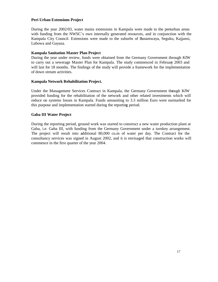#### **Peri Urban Extensions Project**

During the year 2002/03, water mains extensions in Kampala were made to the periurban areas with funding from the NWSC's own internally generated resources, and in conjunction with the Kampala City Council. Extensions were made to the suburbs of Bunamwaya, Seguku, Kajjansi, Lubowa and Gayaza.

#### **Kampala Sanitation Master Plan Project**

During the year under review, funds were obtained from the Germany Government through KfW to carry out a sewerage Master Plan for Kampala. The study commenced in February 2003 and will last for 18 months. The findings of the study will provide a framework for the implementation of down stream activities.

#### **Kampala Network Rehabilitation Project.**

Under the Management Services Contract in Kampala, the Germany Government through KfW provided funding for the rehabilitation of the network and other related investments which will reduce on systems losses in Kampala. Funds amounting to 3.3 million Euro were earmarked for this purpose and implementation started during the reporting period.

#### **Gaba III Water Project**

During the reporting period, ground work was started to construct a new water production plant at Gaba, i.e. Gaba III, with funding from the Germany Government under a turnkey arrangement. The project will result into additional 80,000 cu.m of water per day. The Contract for the consultancy services was signed in August 2002, and it is envisaged that construction works will commence in the first quarter of the year 2004.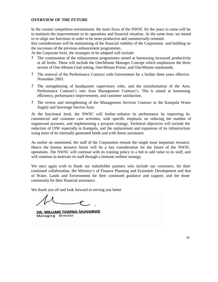#### **OVERVIEW OF THE FUTURE**

In the current competitive environment, the main focus of the NWSC for the years to come will be to maintain the improvements in its operations and financial situation. At the same time, we intend to re-align our functions in order to be more productive and commercially oriented.

Key considerations will be maintaining of the financial viability of the Corporation and building on the successes of the previous enhancement programmes.

At the Corporate level, the strategies to be adopted will include:

- ? The continuation of the enhancement programmes aimed at harnessing increased productivity at all levels. These will include the One-Minute Manager Concept which emphasises the three secrets of One-Minute Goal setting, One-Minute Praise, and One-Minute reprimands.
- ? The renewal of the Performance Contract with Government for a further three years effective November 2003.
- ? The strengthening of headquarter supervisory roles, and the transformation of the Area Performance Contract's into Area Management Contract's. This is aimed at harnessing efficiency, performance improvements, and customer satisfaction.
- ? The review and strengthening of the Management Services Contract in the Kampala Water Supply and Sewerage Service Area.

At the functional level, the NWSC will further enhance its performance by improving its commercial and customer care activities, with specific emphasis on reducing the number of suppressed accounts, and implementing a pro-poor strategy. Technical objectives will include the reduction of UfW especially in Kampala, and the replacement and expansion of its infrastructure using more of its internally generated funds and with donor assistance.

As earlier on mentioned, the staff of the Corporation remain the single most important resource. Hence the human resource factor will be a key consideration for the future of the NWSC operations. The NWSC will continue with its training policy in a bid to add value to its staff, and will continue to motivate its staff through a humane welfare strategy.

We once again wish to thank our stakeholder partners who include our customers, for their continued collaboration, the Ministry's of Finance Planning and Economic Development and that of Water, Lands and Environment for their continued guidance and support, and the donor community for their financial assistance.

We thank you all and look forward to serving you better

DR. WILLIAM TSIMWA MUHAIRWE Managing Director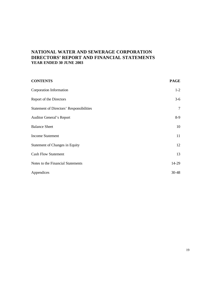# **NATIONAL WATER AND SEWERAGE CORPORATION DIRECTORS' REPORT AND FINANCIAL STATEMENTS YEAR ENDED 30 JUNE 2003**

| <b>CONTENTS</b>                                 | <b>PAGE</b>    |
|-------------------------------------------------|----------------|
| Corporation Information                         | $1-2$          |
| Report of the Directors                         | $3-6$          |
| <b>Statement of Directors' Responsibilities</b> | $\overline{7}$ |
| <b>Auditor General's Report</b>                 | $8-9$          |
| <b>Balance Sheet</b>                            | 10             |
| <b>Income Statement</b>                         | 11             |
| <b>Statement of Changes in Equity</b>           | 12             |
| <b>Cash Flow Statement</b>                      | 13             |
| Notes to the Financial Statements               | 14-29          |
| Appendices                                      | $30 - 48$      |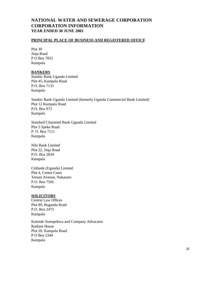# **NATIONAL WATER AND SEWERAGE CORPORATION CORPORATION INFORMATION YEAR ENDED 30 JUNE 2003**

#### **PRINCIPAL PLACE OF BUSINESS AND REGISTERED OFFICE**

Plot 39 Jinja Road P O Box 7053 Kampala

#### **BANKERS**

Stanbic Bank Uganda Limited Plot 45, Kampala Road P.O. Box 7131 Kampala

Stanbic Bank Uganda Limited (formerly Uganda Commercial Bank Limited) Plot 12 Kampala Road P.O. Box 973 Kampala

Standard Chartered Bank Uganda Limited Plot 5 Speke Road P. O. Box 7111 Kampala

Nile Bank Limited Plot 22, Jinja Road P.O. Box 2834 Kampala

Citibank (Uganda) Limited Plot 4, Centre Court Ternan Avenue, Nakasero P.O. Box 7505 Kampala

#### **SOLICITORS**

Central Law Offices Plot 89, Buganda Road P.O. Box 2475 Kampala

Katende Ssempebwa and Company Advocates Radiant House Plot 20, Kampala Road P O Box 2344 Kampala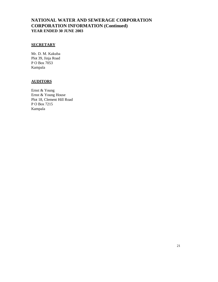# **NATIONAL WATER AND SEWERAGE CORPORATION CORPORATION INFORMATION (Continued) YEAR ENDED 30 JUNE 2003**

#### **SECRETARY**

Mr. D. M. Kakuba Plot 39, Jinja Road P O Box 7053 Kampala

#### **AUDITORS**

Ernst & Young Ernst & Young House Plot 18, Clement Hill Road P O Box 7215 Kampala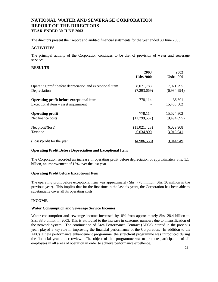The directors present their report and audited financial statements for the year ended 30 June 2003.

#### **ACTIVITIES**

The principal activity of the Corporation continues to be that of provision of water and sewerage services.

#### **RESULTS**

|                                                           | 2003             | 2002             |
|-----------------------------------------------------------|------------------|------------------|
|                                                           | <b>Ushs '000</b> | <b>Ushs '000</b> |
| Operating profit before depreciation and exceptional item | 8,071,783        | 7,021,295        |
| Depreciation                                              | (7,293,669)      | (6,984,994)      |
| Operating profit before exceptional item                  | 778,114          | 36,301           |
| Exceptional item – asset impairment                       |                  | 15,488,502       |
| <b>Operating profit</b>                                   | 778,114          | 15,524,803       |
| Net finance costs                                         | (11, 799, 537)   | (9,494,895)      |
| Net profit/(loss)                                         | (11,021,423)     | 6,029,908        |
| Taxation                                                  | 6,034,890        | 3,015,041        |
| (Loss)/profit for the year                                | (4.986, 533)     | 9,044,949        |

#### **Operating Profit Before Depreciation and Exceptional Item**

The Corporation recorded an increase in operating profit before depreciation of approximately Shs. 1.1 billion, an improvement of 15% over the last year.

#### **Operating Profit before Exceptional Item**

The operating profit before exceptional item was approximately Shs. 778 million (Shs. 36 million in the previous year). This implies that for the first time in the last six years, the Corporation has been able to substantially cover all its operating costs.

#### **INCOME**

#### **Water Consumption and Sewerage Service Incomes**

Water consumption and sewerage income increased by 18% from approximately Shs. 28.4 billion to Shs. 33.6 billion in 2003. This is attributed to the increase in customer numbers due to intensification of the network system. The continuation of Area Performance Contract (APCs), started in the previous year, played a key role in improving the financial performance of the Corporation. In addition to the APCs a new performance enhancement programme, the stretch-out programme was introduced during the financial year under review. The object of this programme was to promote participation of all employees in all areas of operation in order to achieve performance excellence.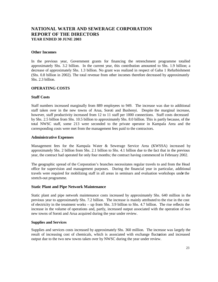#### **Other Incomes**

In the previous year, Government grants for financing the retrenchment programme totalled approximately Shs. 3.2 billion. In the current year, this contribution amounted to Shs. 1.9 billion; a decrease of approximately Shs. 1.3 billion. No grant was realized in respect of Gaba 1 Refurbishment (Shs. 0.8 billion in 2002). The total revenue from other incomes therefore decreased by approximately Shs. 2.3 billion.

#### **OPERATING COSTS**

#### **Staff Costs**

Staff numbers increased marginally from 889 employees to 949. The increase was due to additional staff taken over in the new towns of Arua, Soroti and Bushenyi. Despite the marginal increase, however, staff productivity increased from 12 to 11 staff per 1000 connections. Staff costs decreased by Shs. 2.5 billion from Shs. 10.5 billion to approximately Shs. 8.0 billion. This is partly because, of the total NWSC staff, some 213 were seconded to the private operator in Kampala Area and the corresponding costs were met from the management fees paid to the contractors.

#### **Administrative Expenses**

Management fees for the Kampala Water & Sewerage Service Area (KWSSA) increased by approximately Shs. 2 billion from Shs. 2.1 billion to Shs. 4.1 billion due to the fact that in the previous year, the contract had operated for only four months; the contract having commenced in February 2002.

The geographic spread of the Corporation's branches necessitates regular travels to and from the Head office for supervision and management purposes. During the financial year in particular, additional travels were required for mobilizing staff in all areas in seminars and evaluation workshops under the stretch-out programme.

#### **Static Plant and Pipe Network Maintenance**

Static plant and pipe network maintenance costs increased by approximately Shs. 640 million in the previous year to approximately Shs. 7.2 billion. The increase is mainly attributed to the rise in the cost of electricity in the treatment works – up from Shs. 3.9 billion to Shs. 4.7 billion. The rise reflects the increase in the volume of operations and, partly, increased output associated with the operation of two new towns of Soroti and Arua acquired during the year under review.

#### **Supplies and Services**

Supplies and services costs increased by approximately Shs. 360 million. The increase was largely the result of increasing cost of chemicals, which is associated with exchange fluctuation and increased output due to the two new towns taken over by NWSC during the year under review.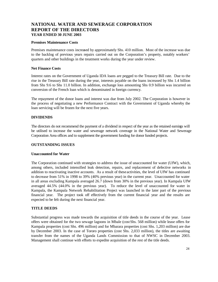#### **Premises Maintenance Costs**

Premises maintenance costs increased by approximately Shs. 410 million. Most of the increase was due to the backlog of previous years repairs carried out on the Corporation's property, notably workers' quarters and other buildings in the treatment works during the year under review.

#### **Net Finance Costs**

Interest rates on the Government of Uganda IDA loans are pegged to the Treasury Bill rate. Due to the rise in the Treasury Bill rate during the year, interests payable on the loans increased by Shs 1.4 billion from Shs 9.6 to Shs 11.0 billion. In addition, exchange loss amounting Shs 0.9 billion was incurred on conversion of the French loan which is denominated in foreign currency.

The repayment of the donor loans and interest was due from July 2002. The Corporation is however in the process of negotiating a new Performance Contract with the Government of Uganda whereby the loan servicing will be frozen for the next five years.

#### **DIVIDENDS**

The directors do not recommend the payment of a dividend in respect of the year as the retained earnings will be utilised to increase the water and sewerage network coverage in the National Water and Sewerage Corporation Area offices and to supplement the government funding for donor funded projects.

#### **OUTSTANDING ISSUES**

#### **Unaccounted for Water**

The Corporation continued with strategies to address the issue of unaccounted for water (UfW), which, among others, included intensified leak detection, repairs, and replacement of defective networks in addition to reactivating inactive accounts. As a result of these activities, the level of UfW has continued to decrease from 51% in 1998 to 39% (40% previous year) in the current year. Unaccounted for water in all areas excluding Kampala averaged 26.7 (down from 30% in the previous year). In Kampala UfW averaged 44.5% (44.0% in the previous year). To reduce the level of unaccounted for water in Kampala, the Kampala Network Rehabilitation Project was launched in the later part of the previous financial year. The project took off effectively from the current financial year and the results are expected to be felt during the next financial year.

#### **TITLE DEEDS**

Substantial progress was made towards the acquisition of title deeds in the course of the year. Lease offers were obtained for the two sewage lagoons in Mbale (cost Shs. 568 million) while lease offers for Kampala properties (cost Shs. 496 million) and for Mbarara properties (cost Shs. 1,203 million) are due by December 2003. In the case of Tororo properties (cost Shs. 2,033 million), the titles are awaiting transfer from the names of the Uganda Lands Commission to that of NWSC in December 2003. Management shall continue with efforts to expedite acquisition of the rest of the title deeds.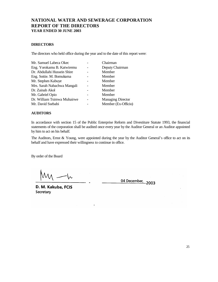#### **DIRECTORS**

The directors who held office during the year and to the date of this report were:

| Mr. Samuel Labeca Okec      | Chairman                 |
|-----------------------------|--------------------------|
| Eng. Yorokamu B. Katwiremu  | Deputy Chairman          |
| Dr. Abdullahi Hussein Shire | Member                   |
| Eng. Sottie. M. Bomukama    | Member                   |
| Mr. Stephen Kabuye          | Member                   |
| Mrs. Sarah Nabachwa Mangali | Member                   |
| Dr. Zainab Akol             | Member                   |
| Mr. Gabriel Opio            | Member                   |
| Dr. William Tsimwa Muhairwe | <b>Managing Director</b> |
| Mr. David Ssebabi           | Member (Ex-Officio)      |

#### **AUDITORS**

In accordance with section 15 of the Public Enterprise Reform and Divestiture Statute 1993, the financial statements of the corporation shall be audited once every year by the Auditor General or an Auditor appointed by him to act on his behalf.

The Auditors, Ernst & Young, were appointed during the year by the Auditor General's office to act on its behalf and have expressed their willingness to continue in office.

By order of the Board

W

04 December, 2003

D. M. Kakuba, FCIS Secretary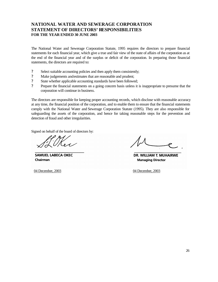# **NATIONAL WATER AND SEWERAGE CORPORATION STATEMENT OF DIRECTORS' RESPONSIBILITIES FOR THE YEAR ENDED 30 JUNE 2003**

The National Water and Sewerage Corporation Statute, 1995 requires the directors to prepare financial statements for each financial year, which give a true and fair view of the state of affairs of the corporation as at the end of the financial year and of the surplus or deficit of the corporation. In preparing those financial statements, the directors are required to:

- ? Select suitable accounting policies and then apply them consistently;
- ? Make judgements and estimates that are reasonable and prudent;
- ? State whether applicable accounting standards have been followed;
- ? Prepare the financial statements on a going concern basis unless it is inappropriate to presume that the corporation will continue in business.

The directors are responsible for keeping proper accounting records, which disclose with reasonable accuracy at any time, the financial position of the corporation, and to enable them to ensure that the financial statements comply with the National Water and Sewerage Corporation Statute (1995). They are also responsible for safeguarding the assets of the corporation, and hence for taking reasonable steps for the prevention and detection of fraud and other irregularities.

Signed on behalf of the board of directors by:

**SAMUEL LABECA OKEC** Chairman

04 December, 2003 04 December, 2003

DR. WILLIAM T. MUHAIRWE **Managing Director**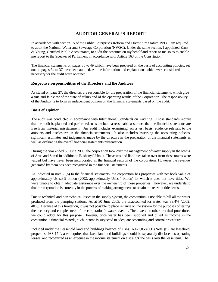# **AUDITOR GENERAL'S REPORT**

In accordance with section 15 of the Public Enterprises Reform and Divestiture Statute 1993, l am required to audit the National Water and Sewerage Corporation (NWSC). Under the same section, I appointed Ernst & Young, Certified Public Accountants, to audit the accounts on my behalf and report to me so as to enable me report to the Speaker of Parliament in accordance with Article 163 of the Constitution.

The financial statements on pages 30 to 49 which have been prepared on the basis of accounting policies, set out on pages 34 to 37 have been audited. All the information and explanations which were considered necessary for the audit were obtained.

#### **Respective responsibilities of the Directors and the Auditors**

As stated on page 27, the directors are responsible for the preparation of the financial statements which give a true and fair view of the state of affairs and of the operating results of the Corporation. The responsibility of the Auditor is to form an independent opinion on the financial statements based on the audit.

#### **Basis of Opinion**

The audit was conducted in accordance with International Standards on Auditing. Those standards require that the audit be planned and performed so as to obtain a reasonable assurance that the financial statements are free from material misstatement. An audit includes examining, on a test basis, evidence relevant to the amounts and disclosures in the financial statements. It also includes assessing the accounting policies, significant estimates and judgements made by the directors in the preparation of the financial statements as well as evaluating the overall financial statements presentation.

During the year ended 30 June 2003, the corporation took over the management of water supply in the towns of Arua and Soroti in addition to Bushenyi/ Ishaka. The assets and liabilities taken over from these towns were valued but have never been incorporated in the financial records of the corporation. However the revenue generated by them has been recognized in the financial statements.

As indicated in note 2 (b) to the financial statements, the corporation has properties with net book value of approximately Ushs.3.9 billion (2002: approximately Ushs.4 billion) for which it does not have titles. We were unable to obtain adequate assurance over the ownership of these properties. However, we understand that the corporation is currently in the process of making arrangements to obtain the relevant title deeds.

Due to technical and non-technical losses in the supply system, the corporation is not able to bill all the water produced from the pumping stations. As at 30 June 2003, the unaccounted for water was 39.4% (2002: 40%). Because of this limitation, it was not possible to place reliance on the system for the purposes of testing the accuracy and completeness of the corporation's water revenue. There were no other practical procedures we could adopt for this purpose. However, once water has been supplied and billed as income in the corporation's financial records, such income is subjected to adequate accounting and control procedures.

Included under the Leasehold land and buildings balance of Ushs.16,422,058,000 (Note  $\hat{z}_0$ ), are leasehold properties. IAS 17 Leases requires that lease land and buildings should be separately disclosed as operating leases, and recognized as an expense in the income statement on a straightline basis over the lease term. The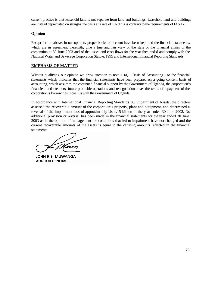current practice is that leasehold land is not separate from land and buildings. Leasehold land and buildings are instead depreciated on straight-line basis at a rate of 1%. This is contrary to the requirements of IAS 17.

#### **Opinion**

Except for the above, in our opinion, proper books of account have been kept and the financial statements, which are in agreement therewith, give a true and fair view of the state of the financial affairs of the corporation at 30 June 2003 and of the losses and cash flows for the year then ended and comply with the National Water and Sewerage Corporation Statute, 1995 and International Financial Reporting Standards.

#### **EMPHASIS OF MATTER**

Without qualifying our opinion we draw attention to note  $1$  (a) – Basis of Accounting - to the financial statements which indicates that the financial statements have been prepared on a going concern basis of accounting, which assumes the continued financial support by the Government of Uganda, the corporation's financiers and creditors, future profitable operations and renegotiations over the terms of repayment of the corporation's borrowings (note 10) with the Government of Uganda.

In accordance with International Financial Reporting Standards 36, Impairment of Assets, the directors assessed the recoverable amount of the corporation's property, plant and equipment, and determined a reversal of the impairment loss of approximately Ushs.15 billion in the year ended 30 June 2002. No additional provision or reversal has been made in the financial statements for the year ended 30 June 2003 as in the opinion of management the conditions that led to impairment have not changed and the current recoverable amounts of the assets is equal to the carrying amounts reflected in the financial statements.

JOHN F. S. MUWANGA **AUDITOR GENERAL**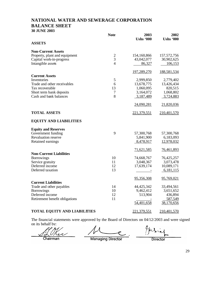# **NATIONAL WATER AND SEWERAGE CORPORATION BALANCE SHEET 30 JUNE 2003**

|                                     | <b>Note</b>    | 2003<br><b>Ushs '000</b> | 2002<br><b>Ushs '000</b> |
|-------------------------------------|----------------|--------------------------|--------------------------|
| <b>ASSETS</b>                       |                |                          |                          |
| <b>Non-Current Assets</b>           |                |                          |                          |
| Property, plant and equipment       | $\overline{c}$ | 154,160,866              | 157,572,756              |
| Capital work-in-progress            | $\overline{3}$ | 43,042,077               | 30,902,625               |
| Intangible assets                   | 4              | 86,327                   | 106,153                  |
|                                     |                | 197,289,270              | 188,581,534              |
| <b>Current Assets</b>               |                |                          |                          |
| Inventories                         | 5              | 2,999,850                | 2,779,402                |
| Trade and other receivables         | 6              | 13,678,775               | 13,426,434               |
| Tax recoverable                     | 13             | 1,060,095                | 820,515                  |
| Short term bank deposits            | 7              | 3,164,072                | 1,068,802                |
| Cash and bank balances              | 8              | 3,187,489                | 3,724,883                |
|                                     |                | 24,090,281               | 21,820,036               |
| <b>TOTAL ASSETS</b>                 |                | 221,379,551              | 210,401,570              |
| <b>EQUITY AND LIABILITIES</b>       |                |                          |                          |
| <b>Equity and Reserves</b>          |                |                          |                          |
| Government funding                  | 9              | 57,300,768               | 57,300,768               |
| <b>Revaluation reserve</b>          |                | 5,841,900                | 6,183,093                |
| Retained earnings                   |                | 8,478,917                | 12,978,032               |
|                                     |                | 71,621,585               | 76,461,893               |
| <b>Non-Current Liabilities</b>      |                |                          |                          |
| <b>Borrowings</b>                   | 10             | 74,668,767               | 76,425,257               |
| Service gratuity                    | 11             | 3,048,367                | 3,073,478                |
| Deferred income                     | 12             | 17,639,174               | 10,089,171               |
| Deferred taxation                   | 13             |                          | 6,181,115                |
|                                     |                | 95,356,308               | 95,769,021               |
| <b>Current Liabilities</b>          |                |                          |                          |
| Trade and other payables            | 14             | 44,425,342               | 33,494,561               |
| <b>Borrowings</b>                   | 10             | 9,462,412                | 3,651,652                |
| Deferred income                     | 12             | 513,904                  | 436,894                  |
| Retirement benefit obligations      | 11             |                          | 587,549                  |
|                                     |                | 54,401,658               | 38,170,656               |
| <b>TOTAL EQUITY AND LIABILITIES</b> |                | 221,379,551              | 210,401,570              |

The financial statements were approved by the Board of Directors on 04/12/2003 and were signed on its behalf by:

Chairman

**Managing Director** 

**Director** 

29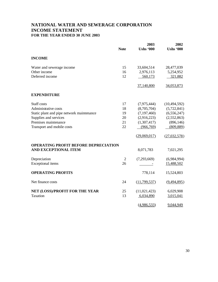# **NATIONAL WATER AND SEWERAGE CORPORATION INCOME STATEMENT FOR THE YEAR ENDED 30 JUNE 2003**

|                                             | <b>Note</b>    | 2003<br><b>Ushs '000</b> | 2002<br><b>Ushs '000</b> |
|---------------------------------------------|----------------|--------------------------|--------------------------|
| <b>INCOME</b>                               |                |                          |                          |
| Water and sewerage income                   | 15             | 33,604,514               | 28,477,039               |
| Other income                                | 16             | 2,976,113                | 5,254,952                |
| Deferred income                             | 12             | 560,173                  | 321,882                  |
|                                             |                | 37,140,800               | 34,053,873               |
| <b>EXPENDITURE</b>                          |                |                          |                          |
| Staff costs                                 | 17             | (7,975,444)              | (10, 494, 592)           |
| Administrative costs                        | 18             | (8,705,704)              | (5,722,841)              |
| Static plant and pipe network maintenance   | 19             | (7, 197, 460)            | (6, 556, 247)            |
| Supplies and services                       | 20             | (2,916,223)              | (2,552,863)              |
| Premises maintenance                        | 21             | (1,307,417)              | (896, 146)               |
| Transport and mobile costs                  | 22             | (966,769)                | (809, 889)               |
|                                             |                | (29,069,017)             | (27,032,578)             |
| <b>OPERATING PROFIT BEFORE DEPRECIATION</b> |                |                          |                          |
| <b>AND EXCEPTIONAL ITEM</b>                 |                | 8,071,783                | 7,021,295                |
| Depreciation                                | $\overline{2}$ | (7,293,669)              | (6,984,994)              |
| Exceptional items                           | 26             |                          | 15,488,502               |
| <b>OPERATING PROFITS</b>                    |                | 778,114                  | 15,524,803               |
| Net finance costs                           | 24             | (11,799,537)             | (9, 494, 895)            |
| NET (LOSS)/PROFIT FOR THE YEAR              | 25             | (11, 021, 423)           | 6,029,908                |
| Taxation                                    | 13             | 6,034,890                | 3,015,041                |
|                                             |                | (4,986,533)              | 9,044,949                |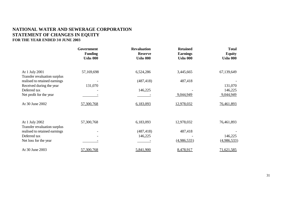# **NATIONAL WATER AND SEWERAGE CORPORATION STATEMENT OF CHANGES IN EQUITY FOR THE YEAR ENDED 3 0 JUNE 2003**

|                                                | Government<br><b>Funding</b><br><b>Ushs 000</b> | <b>Revaluation</b><br><b>Reserve</b><br><b>Ushs 000</b> | <b>Retained</b><br><b>Earnings</b><br><b>Ushs 000</b> | <b>Total</b><br><b>Equity</b><br><b>Ushs 000</b> |
|------------------------------------------------|-------------------------------------------------|---------------------------------------------------------|-------------------------------------------------------|--------------------------------------------------|
| At 1 July 2001<br>Transfer revaluation surplus | 57,169,698                                      | 6,524,286                                               | 3,445,665                                             | 67,139,649                                       |
| realised to retained earnings                  |                                                 | (487, 418)                                              | 487,418                                               |                                                  |
| Received during the year<br>Deferred tax       | 131,070                                         | 146,225                                                 |                                                       | 131,070<br>146,225                               |
| Net profit for the year                        |                                                 |                                                         | 9,044,949                                             | 9,044,949                                        |
| At 30 June 2002                                | 57,300,768                                      | 6,183,093                                               | 12,978,032                                            | 76,461,893                                       |
|                                                |                                                 |                                                         |                                                       |                                                  |
| At 1 July 2002<br>Transfer revaluation surplus | 57,300,768                                      | 6,183,093                                               | 12,978,032                                            | 76,461,893                                       |
| realised to retained earnings                  |                                                 | (487, 418)                                              | 487,418                                               |                                                  |
| Deferred tax                                   |                                                 | 146,225                                                 |                                                       | 146,225                                          |
| Net loss for the year                          |                                                 |                                                         | (4,986,533)                                           | (4,986,533)                                      |
| At 30 June 2003                                | 57,300,768                                      | 5,841,900                                               | 8,478,917                                             | 71,621,585                                       |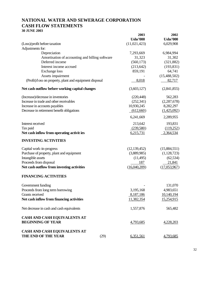# **NATIONAL WATER AND SEWERAGE CORPORATION CASH FLOW STATEMENTS 30 JUNE 2003**

|                                                                              | 2003<br><b>Ushs'000</b> | 2002<br><b>Ushs'000</b>  |
|------------------------------------------------------------------------------|-------------------------|--------------------------|
| (Loss)/profit before taxation                                                | (11,021,423)            | 6,029,908                |
| Adjustments for:                                                             |                         |                          |
| Depreciation                                                                 | 7,293,669               | 6,984,994                |
| Amortisation of accounting and billing software                              | 31,323                  | 31,302                   |
| Deferred income                                                              | (560, 173)              | (321, 882)               |
| Interest income accrued                                                      | (213, 642)              | (193, 831)               |
| <b>Exchange</b> loss                                                         | 859,191                 | 64,741                   |
| Assets impairment<br>(Profit)/loss on property, plant and equipment disposal | 8,018                   | (15, 488, 502)<br>82,717 |
|                                                                              |                         |                          |
| Net cash outflow before working capital changes                              | (3,603,127)             | (2,841,855)              |
| (Increase)/decrease in inventories                                           | (220, 448)              | 562,283                  |
| Increase in trade and other receivables                                      | (252, 341)              | (2, 287, 678)            |
| Increase in accounts payables                                                | 10,930,245              | 8,282,297                |
| Decrease in retirement benefit obligations                                   | (612,660)               | (1,425,092)              |
|                                                                              | 6,241,669               | 2,289,955                |
| Interest received                                                            | 213,642                 | 193,831                  |
| Tax paid                                                                     | (239,580)               | (119,252)                |
| Net cash inflow from operating activit ies                                   | 6,215,731               | 2,364,534                |
| <b>INVESTING ACTIVITIES</b>                                                  |                         |                          |
| Capital work-in-progress                                                     | (12, 139, 452)          | (15,884,551)             |
| Purchase of property, plant and equipment                                    | (3,889,985)             | (1,128,723)              |
| Intangible assets                                                            | (11, 495)               | (62, 534)                |
| Proceeds from disposal                                                       | 187                     | 21,841                   |
| Net cash outflow from investing activities                                   | (16,040,209)            | (17,053,967)             |
| <b>FINANCING ACTIVITIES</b>                                                  |                         |                          |
| Government funding                                                           |                         | 131,070                  |
| Proceeds from long term borrowing                                            | 3,195,168               | 4,983,651                |
| Grants received                                                              | 8,187,186               | 10,140,194               |
| Net cash inflow from financing activities                                    | 11,382,354              | 15,254,915               |
| Net decrease in cash and cash equivalents                                    | 1,557,876               | 565,482                  |
| CASH AND CASH EQUIVALENTS AT                                                 |                         |                          |
| <b>BEGINNING OF YEAR</b>                                                     | 4,793,685               | 4,228,203                |
| <b>CASH AND CASH EQUIVALENTS AT</b>                                          |                         |                          |
| THE END OF THE YEAR<br>(29)                                                  | 6,351,561               | 4,793,685                |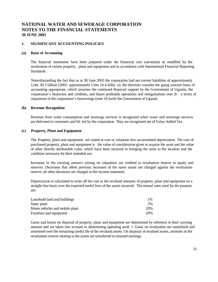#### **1. SIGNIFICANT ACCOUNTING POLICIES**

#### **(a) Basis of Accounting**

The financial statements have been prepared under the historical cost convention as modified by the revaluation of certain property, plant and equipment and in accordance with International Financial Reporting Standards.

Notwithstanding the fact that as at 30 June 2003 the corporation had net current liabilities of approximately Ushs 30.3 billion (2002: approximately Ushs 16.4 billio n), the directors consider the going concern basis of accounting appropriate, which assumes the continued financial support by the Government of Uganda, the corporation's financiers and creditors, and future profitable operations and renegotiations over th e terms of repayment of the corporation's borrowings (note 10 )with the Government of Uganda

#### **(b) Revenue Recognition**

Revenue from water consumption and sewerage services is recognized when water and sewerage services are delivered to customers and bil led by the corporation. They are recognized net of Value Added Tax.

#### **(c) Property, Plant and Equipment**

The Property, plant and equipment are stated at cost or valuation less accumulated depreciation. The cost of purchased property, plant and equipment is the value of consideration given to acquire the asset and the value of other directly attributable costs, which have been incurred in bringing the asset to the location and the condition necessary for their intended use.

Increases in the carrying amoun t arising on valuations are credited to revaluation reserve in equity and reserves. Decreases that offset previous increases of the same assets are charged against the revaluation reserve; all other decreases are charged to the income statement.

Depreciation is calculated to write off the cost or the revalued amounts of property, plant and equipment on a straight-line basis over the expected useful lives of the assets incurred. The annual rates used for the purpose are:

| Leasehold land and buildings    | $1\%$ |
|---------------------------------|-------|
| Static plant                    | 3%    |
| Motor vehicles and mobile plant | 20%   |
| Furniture and equipment         | 20%   |

Gains and losses on disposal of property, plant and equipment are determined by reference to their carrying amount and are taken into account in determining operating profi t. Gains on revaluation are capitalised and amortised over the remaining useful life of the revalued assets. On disposal of revalued assets, amounts in the revaluation reserve relating to the assets are transferred to retained earnings.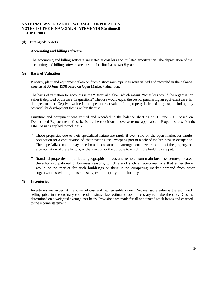#### **(d) Intangible Assets**

#### **Accounting and billing software**

The accounting and billing software are stated at cost less accumulated amortization. The depreciation of the accounting and billing software are on straight -line basis over 5 years

#### **(e) Basis of Valuation**

Property, plant and equipment taken on from district municipalities were valued and recorded in the balance sheet as at 30 June 1998 based on Open Market Valua tion.

The basis of valuation for accounts is the "Deprival Value" which means, "what loss would the organisation suffer if deprived of the asset in question?" The loss would equal the cost of purchasing an equivalent asset in the open market. Deprival va lue is the open market value of the property in its existing use, including any potential for development that is within that use.

Furniture and equipment was valued and recorded in the balance sheet as at 30 June 2001 based on Depreciated Replacemen t Cost basis, as the conditions above were not applicable. Properties to which the DRC basis is applied to include: -

- ? Those properties due to their specialized nature are rarely if ever, sold on the open market for single occupation for a continuation of their existing use, except as part of a sale of the business in occupation. Their specialized nature may arise from the construction, arrangement, size or location of the property, or a combination of these factors, or the function or the purpose to which the buildings are put,
- ? Standard properties in particular geographical areas and remote from main business centres, located there for occupational or business reasons, which are of such an abnormal size that either there would be no market for such buildi ngs or there is no competing market demand from other organizations wishing to use these types of property in the locality.

#### **(f) Inventories**

Inventories are valued at the lower of cost and net realisable value. Net realisable value is the estimated selling price in the ordinary course of business less estimated costs necessary to make the sale. Cost is determined on a weighted average cost basis. Provisions are made for all anticipated stock losses and charged to the income statement.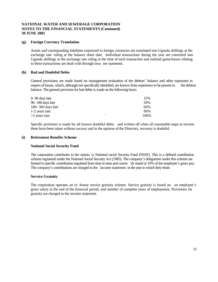#### **(g) Foreign Currency Translation**

Assets and corresponding liabilities expressed in foreign currencies are translated into Uganda shillings at the exchange rate ruling at the balance sheet date. Individual transactions during the year are converted into Uganda shillings at the exchange rate ruling at the time of each transaction and realised gains/losses relating to these transactions are dealt with through inco me statement.

#### **(h) Bad and Doubtful Debts**

General provisions are made based on management evaluation of the debtors' balance and other exposures in respect of losses, which, although not specifically identified, are known from experience to be present in the debtors balance. The general provision for bad debts is made on the following basis;

| 0-90 days late    |                          | 15%  |
|-------------------|--------------------------|------|
| 90-180 days late  |                          | 50%  |
| 180-360 days late |                          | 60%  |
| 1-2 years late    |                          | 90%  |
| >2 years late     | $\overline{\phantom{0}}$ | 100% |

Specific provision is made for all known doubtful debts and written off when all reasonable steps to recover them have been taken without success and in the opinion of the Directors, recovery is doubtful.

#### **(i) Retirement Benefits Scheme**

#### **National Social Security Fund**

The corporation contributes to the statuto ry National social Security Fund (NSSF). This is a defined contribution scheme registered under the National Social Security Act (1985). The company's obligations under this scheme are limited to specific contribution regulated from time to time and curren tly stated at 10% of the employee's gross pay. The company's contributions are charged to the income statement in the year to which they relate.

#### **Service Gratuity**

The corporation operates an in -house service gratuity scheme. Service gratuity is based on an employee's gross salary at the end of the financial period, and number of complete years of employment. Provisions for gratuity are charged to the income statement.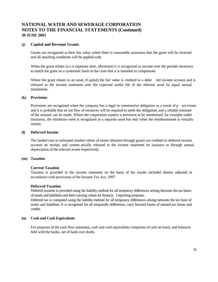#### **(j) Capital and Revenue Grants**

Grants are recognized at their fair value where there is reasonable assurance that the grant will be received and all attaching conditions will be applied with.

When the grant relates to a n expenses item, (Revenue) it is recognised as income over the periods necessary to match the grant on a systematic basis to the costs that it is intended to compensate.

Where the grant relates to an asset, (Capital) the fair value is credited to a defer red income account and is released to the income statement over the expected useful life of the relevant asset by equal annual instalments.

#### **(k) Provisions**

Provisions are recognized when the company has a legal or constructive obligation as a result of p ast events and it is probable that an out flow of resources will be required to settle the obligation, and a reliable estimate of the amount can be made. Where the corporation expects a provision to be reimbursed, for example under insurance, the reimburse ment is recognized as a separate asset but only when the reimbursement is virtually certain.

#### **(l) Deferred Income**

The landed cost or estimated market values of assets obtained through grants are credited to deferred income account on receipt, and system atically released to the income statement on issuance or through annual depreciation of the relevant assets respectively.

#### **(m) Taxation**

#### **Current Taxation**

Taxation is provided in the income statement on the basis of the results included therein adjusted in accordance with provisions of the Income Tax Act, 1997.

#### **Deferred Taxation**

Deferred taxation is provided using the liability method for all temporary differences arising between the tax bases of assets and liabilities and their carrying values for financia l reporting purposes.

Deferred tax is computed using the liability method for all temporary differences arising between the tax base of assets and liabilities. It is recognised for all temporally differences, carry forward losses of unused tax losses and credits.

#### **(n) Cash and Cash Equivalents**

For purposes of the cash flow statement, cash and cash equivalents comprises of cash on hand, and balances held with the banks, net of bank over drafts.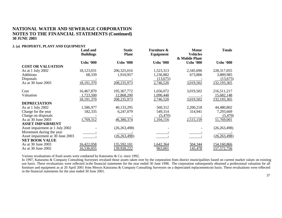#### **2. (a) PROPERTY, PLANT AND EQUIPMENT**

|                                  | <b>Land and</b><br><b>Buildings</b> | <b>Static</b><br><b>Plant</b> | <b>Furniture &amp;</b><br>Equipment | <b>Motor</b><br><b>Vehicles</b><br>& Mobile Plant | <b>Totals</b>      |
|----------------------------------|-------------------------------------|-------------------------------|-------------------------------------|---------------------------------------------------|--------------------|
|                                  | <b>Ushs '000</b>                    | <b>Ushs '000</b>              | <b>Ushs '000</b>                    | <b>Ushs '000</b>                                  | <b>Ushs '000</b>   |
| <b>COST OR VALUATION</b>         |                                     |                               |                                     |                                                   |                    |
| As at 1 July 2002                | 18,123,031                          | 206,325,016                   | 1,523,313                           | 2,345,696                                         | 228, 317, 055      |
| <b>Additions</b>                 | 68,339                              | 1,910,957                     | 1,236,882                           | 673,806                                           | 3,889,985          |
| Disposals                        |                                     |                               | (13,675)                            |                                                   | (13, 675)          |
| As at 30 June 2003               | 18,191,370                          | 208,235,973                   | 2,746,520                           | 3,019,502                                         | 232,193,365        |
| Cost                             | 16,467,870                          | 195,367,772                   | 1,656,072                           | 3,019,502                                         | 216,511,217        |
| Valuation                        | 1,723,500                           | 12,868,200                    | 1,090,448                           |                                                   | 15,682,148         |
|                                  | 18,191,370                          | 208,235,973                   | 2,746,520                           | 3,019,502                                         | 232,193,365        |
| <b>DEPRECIATION</b>              |                                     |                               |                                     |                                                   |                    |
| As at 1 July 2002                | 1,586,977                           | 40,133,295                    | 560,312                             | 2,200,218                                         | 44,480,802         |
| Charge for the year              | 182,335                             | 6,247,079                     | 549,314                             | 314,941                                           | 7,293,669          |
| Charge on disposals              |                                     |                               | (5,470)                             |                                                   | (5,470)            |
| As at 30 June 2003               | 1,769,312                           | 46,380,374                    | 1,104,156                           | 2,515,159                                         | 51,769,001         |
| <b>ASSET IMPAIRMENT</b>          |                                     |                               |                                     |                                                   |                    |
| Asset impairment at 1 July 2002  |                                     | (26, 263, 498)                |                                     |                                                   | (26, 263, 498)     |
| Movement during the year         |                                     |                               |                                     |                                                   |                    |
| Asset impairment at 30 June 2003 |                                     | (26, 263, 498)                |                                     |                                                   | (26, 263, 498)     |
| <b>NET BOOK VALUE</b>            |                                     |                               |                                     |                                                   |                    |
| As at 30 June 2003               | 16,422,058                          | 135,592,101                   | 1,642,364                           | 504,344                                           | 154,160,866        |
| As at 30 June 2002               | 16,536,055                          | 139,928,222                   | 963,001                             | 145,478                                           | <u>157,572,756</u> |

Various revaluations of fixed assets were conducted by Katuramu & Co. since 1992.

In 1997, Katuramu & Company Consulting Surveyors revalued those assets taken over by the corporation from district municipalities based on current market values on existing use basis. These revaluations were reflected in the financial statements for the year ended 30 June 1998. The corporation subsequently obtained a professional valuation for all furniture and equipment as at 20 April 2001 from Messrs Katuramu & Company Consulting Surveyors on a depreciated replacement cost basis. These revaluations were reflected in the financial statements for the year ended 30 June 2001.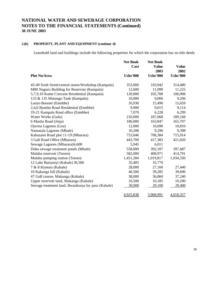# **2.(b) PROPERTY, PLANT AND EQUIPMENT (continue d)**

Leasehold land and buildings include the following properties for which the corporation has no title deeds

|                                                      | <b>Net Book</b><br>Cost | <b>Net Book</b><br><b>Value</b><br>2003 | <b>Value</b><br>2002 |
|------------------------------------------------------|-------------------------|-----------------------------------------|----------------------|
| <b>Plot No/Area</b>                                  | <b>Ushs'000</b>         | <b>Ushs'000</b>                         | <b>Ushs'000</b>      |
| 43-49 Sixth Street/central stores/Workshop (Kampala) | 353,000                 | 310,942                                 | 314,480              |
| M80 Naguru Building for Reservoir (Kampala)          | 12,600                  | 11,099                                  | 11,225               |
| 5,7,9,10 Kome Crescent Residential (Kampala)         | 120,000                 | 105,708                                 | 106,908              |
| 133 & 135 Mutungo Tank (Kampala)                     | 10,000                  | 9,006                                   | 9,206                |
| Lunyo Booster (Entebbe)                              | 16,930                  | 15,490                                  | 15,659               |
| 2,4,6 Byatike Road Residential (Entebbe)             | 9,900                   | 9,015                                   | 9,114                |
| 19-21 Kampala Road office (Entebbe)                  | 7,070                   | 6,228                                   | 6,299                |
| Water Works (Gulu)                                   | 210,000                 | 187,068                                 | 189,168              |
| 6 Martin Road (Jinja)                                | 186,000                 | 163,847                                 | 165,707              |
| Ojwina Lagoons (Lira)                                | 12,000                  | 10,690                                  | 10,810               |
| Namatala Lagoons (Mbale)                             | 10,208                  | 9,296                                   | 9,398                |
| Kabazaire Road plot 11-19 (Mbarara)                  | 753,046                 | 708,384                                 | 715,914              |
| 3 Galt Road Office (Mbarara)                         | 443,700                 | 417,383                                 | 421,820              |
| Sewage Lagoons (Mbarara)6,600                        | 5,945                   | 6,011                                   |                      |
| Doko sewage treatment ponds (Mbale)                  | 558,000                 | 392,107                                 | 397,687              |
| Malaba reservoir (Tororo)                            | 582,000                 | 408,971                                 | 414,791              |
| Malaba pumping station (Tororo)                      | 1,451,284               | 1,019,817                               | 1,034,330            |
| 12 Lake Bunyonyi (Kabale) 36,500                     | 35,405                  | 35,770                                  |                      |
| 7 & 8 Kiyoora (Kabale)                               | 28,000                  | 27,160                                  | 27,440               |
| 10 Kakanga hill (Kabale)                             | 40,500                  | 39,285                                  | 39,690               |
| 47 Golf course, Makanga (Kabale)                     | 38,000                  | 36,860                                  | 37,240               |
| Upper reservoir land, Makanga (Kabale)               | 10,500                  | 10,185                                  | 10,290               |
| Sewage treatment land, Bwankosya by pass (Kabale)    | 30,000                  | 29,100                                  | 29,400               |
|                                                      | 4,925,838               | 3,968,991                               | 4,018,357            |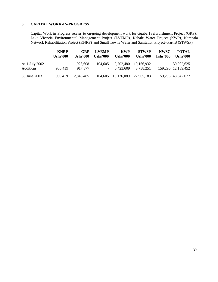#### **3. CAPITAL WORK-IN-PROGRESS**

Capital Work in Progress relates to on-going development work for Ggaba I refurbishment Project (GRP), Lake Victoria Environmental Management Project (LVEMP), Kabale Water Project (KWP), Kampala Network Rehabilitation Project (KNRP), and Small Towns Water and Sanitation Project –Part B (STWSP)

|                                    | <b>KNRP</b><br>Ushs'000 | GRP<br>Ushs'000         | <b>LVEMP</b><br>Ushs' $000$ | <b>KWP</b><br><b>Ushs'000</b> | <b>STWSP</b><br><b>Ushs'000</b> | NWSC<br>Ushs'000 | <b>TOTAL</b><br>Ushs'000            |
|------------------------------------|-------------------------|-------------------------|-----------------------------|-------------------------------|---------------------------------|------------------|-------------------------------------|
| At 1 July 2002<br><b>Additions</b> | 900.419                 | $-1,928,608$<br>917,877 | 104.605                     | 9,702,480<br>$-6.423.609$     | 19.166.932<br>3,738,251         |                  | $-30,902,625$<br>159,296 12,139,452 |
| 30 June 2003                       | 900.419                 | 2.846.485               | 104,605                     | 16,126,089 22,905,183         |                                 |                  | 159,296 43,042,077                  |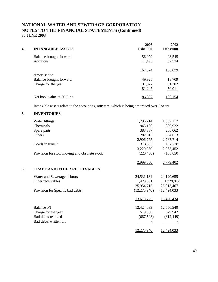| 4. | <b>INTANGIBLE ASSETS</b>                    | 2003<br><b>Ushs'000</b> | 2002<br><b>Ushs'000</b> |
|----|---------------------------------------------|-------------------------|-------------------------|
|    | Balance brought forward<br><b>Additions</b> | 156,079<br>11,495       | 93,545<br>62,534        |
|    | Amortisation                                | 167,574                 | 156,079                 |
|    | Balance brought forward                     | 49,925                  | 18,709                  |
|    | Charge for the year                         | 31,322                  | 31,302                  |
|    |                                             | 81,247                  | 50,011                  |
|    | Net book value at 30 June                   | <u>86,327</u>           | 106,154                 |

Intangible assets relate to the accounting software, which is being amortised over 5 years.

# **5. INVENTORIES**

|    | Water fittings                               | 1,296,214      | 1,367,117      |
|----|----------------------------------------------|----------------|----------------|
|    | Chemicals                                    | 945,160        | 829,922        |
|    | Spare parts                                  | 383,387        | 266,062        |
|    | Others                                       | 282,015        | 304,613        |
|    |                                              | 2,906,775      | 2,767,714      |
|    | Goods in transit                             | 313,505        | 197,738        |
|    |                                              | 3,220,280      | 2,965,452      |
|    | Provision for slow moving and obsolete stock | (220, 430)     | (186,050)      |
|    |                                              | 2,999,850      | 2,779,402      |
| 6. | <b>TRADE AND OTHER RECEIVABLES</b>           |                |                |
|    | Water and Sewerage debtors                   | 24,531,134     | 24,120,655     |
|    | Other receivables                            | 1,423,581      | 1,729,812      |
|    |                                              | 25,954,715     | 25,913,467     |
|    | Provision for Specific bad debts             | (12, 275, 940) | (12, 424, 033) |
|    |                                              | 13,678,775     | 13,426,434     |
|    | Balance b/f                                  | 12,424,033     | 12,556,540     |
|    | Charge for the year                          | 519,500        | 679,942        |
|    | Bad debts realized                           | (667, 593)     | (812, 449)     |
|    | Bad debts written off                        |                |                |
|    |                                              | 12,275,940     | 12,424,033     |
|    |                                              |                |                |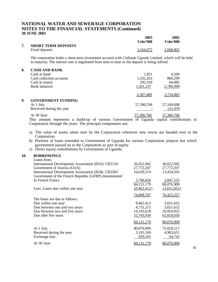|   |                            | 2003      | 2002      |
|---|----------------------------|-----------|-----------|
|   |                            | Ushs'000  | Ushs'000  |
| 7 | <b>SHORT TERM DEPOSITS</b> |           |           |
|   | Fixed deposits             | 3,164,072 | 1,068,802 |

The corporation holds a short-term investment account with Citibank Uganda Limited, which will be held to maturity. The interest rate is negotiated from time to time as the deposit is being refixed.

| 8. | <b>CASH AND BANK</b>      |            |            |
|----|---------------------------|------------|------------|
|    | Cash at hand              | 1,821      | 4,500      |
|    | Cash collection accounts  | 1,332,263  | 869,299    |
|    | Cash in transit           | 292,169    | 64,085     |
|    | Bank balances             | 1,561,237  | 2,786,999  |
|    |                           | 3,187,489  | 3,724,883  |
| 9. | <b>GOVERNMENT FUNDING</b> |            |            |
|    | At 1 July                 | 57,300,768 | 57,169,698 |
|    | Received during the year  |            | 131,070    |
|    | At 30 June                | 57,300,768 | 57,300,768 |

This amount represents a build-up of various Government of Uganda capital contributions to Corporation through the years. The principal components are:

- a) The value of assets taken over by the Corporation whenever new towns are handed over to the Corporation.
- b) Portions of loans extended to Government of Uganda for various Corporation projects but which government passed on to the Corporation as part of equity
- c) Direct equity contributions by Government of Uganda.

#### **10. BORROWINGS**

| 36,022,942   | 36,022,942        |
|--------------|-------------------|
| 27,772,207   | 27,772,207        |
| 16,629,374   | 13,434,205        |
|              |                   |
| 3,706,656    | 2,847,555         |
| 84, 131, 179 | 80,076,909        |
| (9,462,412)  | (3,651,652)       |
| 74,668,767   | <u>76,425,257</u> |
|              |                   |
| 9,462,412    | 3,651,652         |
| 4,731,215    | 3,651,652         |
| 14,193,618   | 10,954,955        |
| 55,743,934   | 61,818,650        |
| 84, 131, 179 | 80,076,909        |
| 80,076,909   | 75,028,517        |
| 3,195,169    | 4,983,651         |
| 859,101      | 64,741            |
| 84, 131, 179 | 80,076,909        |
|              |                   |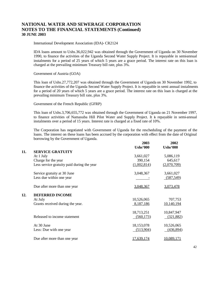International Development Association (IDA)- CR2124

IDA loans amount to Ushs.36,022,942 was obtained through the Government of Uganda on 30 November 1990, to finance the activities of the Uganda Second Water Supply Project. It is repayable in semi-annual instalments for a period of 25 years of which 5 years are a grace period. The interest rate on this loan is charged at the prevailing minimum Treasury bill rate, plus 3%.

Government of Austria (GOA)

This loan of Ushs.27,772,207 was obtained through the Government of Uganda on 30 November 1992, to finance the activities of the Uganda Second Water Supply Project. It is repayable in semi annual instalments for a period of 20 years of which 5 years are a grace period. The interest rate on this loan is charged at the prevailing minimum Treasury bill rate, plus 3%.

Government of the French Republic (GFRP)

This loan of Ushs.3,706,655,772 was obtained through the Government of Uganda on 21 November 1997, to finance activities of Namasuba Hill Pilot Water and Supply Project. It is repayable in semi-annual instalments over a period of 15 years. Interest rate is charged at a fixed rate of 10%.

The Corporation has negotiated with Government of Uganda for the rescheduling of the payment of the loans. The interest on these loans has been accrued by the corporation with effect from the date of Original borrowing by the Government of Uganda.

|     |                                            | 2003<br><b>Ushs'000</b> | 2002<br><b>Ushs'000</b> |
|-----|--------------------------------------------|-------------------------|-------------------------|
| 11. | <b>SERVICE GRATUITY</b>                    |                         |                         |
|     | At 1 July                                  | 3,661,027               | 5,086,119               |
|     | Charge for the year                        | 390,154                 | 645,617                 |
|     | Less service gratuity paid during the year | (1,002,814)             | (2,070,709)             |
|     | Service gratuity at 30 June                | 3,048,367               | 3,661,027               |
|     | Less due within one year                   |                         | (587, 549)              |
|     | Due after more than one year               | 3,048,367               | 3,073,478               |
| 12. | <b>DEFERRED INCOME</b>                     |                         |                         |
|     | At July                                    | 10,526,065              | 707,753                 |
|     | Grants received during the year.           | 8,187,186               | 10,140,194              |
|     |                                            | 18,713,251              | 10,847,947              |
|     | Released to income statement               | (560, 173)              | (321, 882)              |
|     | At 30 June                                 | 18,153,078              | 10,526,065              |
|     | Less: Due with one year                    | (513,904)               | (436, 894)              |
|     | Due after more than one year               | 17,639,174              | 10,089,171              |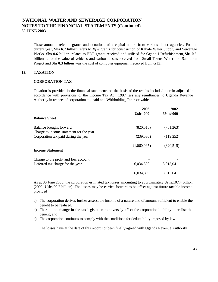These amounts refer to grants and donations of a capital nature from various donor agencies. For the current year, **Shs 6.7 billion** refers to *KfW* grants for construction of Kabale Water Supply and Sewerage Works, **Shs 0.6 billion** relates to EDF grants received and utilised for Ggaba I Refurbishment, **Shs 0.6 billion** is for the value of vehicles and various assets received from Small Towns Water and Sanitation Project and Shs **0.3 billion** was the cost of computer equipment received from GTZ.

#### **13. TAXATION**

#### **CORPORATION TAX**

Taxation is provided in the financial statements on the basis of the results included therein adjusted in accordance with provisions of the Income Tax Act, 1997 less any remittances to Uganda Revenue Authority in respect of corporation tax paid and Withholding Tax receivable.

|                                         | 2003<br>Ushs'000 | 2002<br>Ushs'000 |
|-----------------------------------------|------------------|------------------|
| <b>Balance Sheet</b>                    |                  |                  |
| Balance brought forward                 | (820, 515)       | (701, 263)       |
| Charge to income statement for the year |                  |                  |
| Corporation tax paid during the year    | (239, 580)       | (119, 252)       |
|                                         | (1,060,095)      | (820, 515)       |
| <b>Income Statement</b>                 |                  |                  |
| Charge to the profit and loss account   |                  |                  |
| Deferred tax charge for the year        | 6,034,890        | 3,015,041        |
|                                         | 6.034.890        | <u>3,015,041</u> |

As at 30 June 2003, the corporation estimated tax losses amounting to approximately Ushs.107.4 billion (2002: Ushs.90.2 billion). The losses may be carried forward to be offset against future taxable income provided

- a) The corporation derives further assessable income of a nature and of amount sufficient to enable the benefit to be realised,
- b) There is no change in the tax legislation to adversely affect the corporation's ability to realise the benefit; and
- c) The corporation continues to comply with the conditions for deductibility imposed by law

The losses have at the date of this report not been finally agreed with Uganda Revenue Authority.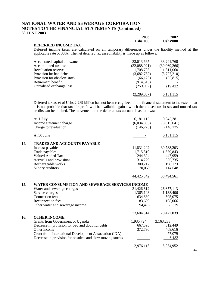|                     | 2003     | 2002     |
|---------------------|----------|----------|
|                     |          |          |
|                     | Ushs'000 | Ushs'000 |
| DEFERRED INCOME TAX |          |          |

Deferred income taxes are calculated on all temporary differences under the liability method at the applicable rate of 30%. The net deferred tax asset/liability is made up as follows:

| Accelerated capital allowance | 33,013,665   | 38, 241, 768 |
|-------------------------------|--------------|--------------|
| Accumulated tax loss          | (32,088,921) | (30,069,266) |
| <b>Revaluation reserve</b>    | 1,708,703    | 1,811,060    |
| Provision for bad debts       | (3,682,782)  | (3,727,210)  |
| Provision for obsolete stock  | (66, 129)    | (55, 815)    |
| Retirement benefit            | (914, 510)   |              |
| Unrealised exchange loss      | (259,092)    | (19, 422)    |
|                               | 2,289,067    | 6,181,115    |

Deferred tax asset of Ushs.2.289 billion has not been recognized in the financial statement to the extent that it is not probable that taxable profit will be available against which the unused tax losses and unused tax credits can be utilized. The movement on the deferred tax account is as follows:

|     | At 1 July                                                 | 6,181,115   | 9,342,381         |
|-----|-----------------------------------------------------------|-------------|-------------------|
|     | Income statement charge                                   | (6,034,890) | (3,015,041)       |
|     | Charge to revaluation                                     | (146, 225)  | (146, 225)        |
|     | At 30 June                                                |             | 6,181,115         |
| 14. | TRADES AND ACCOUNTS PAYABLE                               |             |                   |
|     | Interest payable                                          | 41,831,202  | 30,788,203        |
|     | Trade payables                                            | 1,715,310   | 1,579,843         |
|     | Valued Added Tax                                          | 244,324     | 447,959           |
|     | Accruals and provisions                                   | 314,229     | 365,735           |
|     | Rechargeable works                                        | 300,217     | 198,173           |
|     | Sundry creditors                                          | 20,060      | 114,648           |
|     |                                                           | 44,425,342  | <u>33,494,561</u> |
| 15. | <b>WATER CONSUMPTION AND SEWERAGE SERVICES INCOME</b>     |             |                   |
|     | Water and sewerage charges                                | 31,426,612  | 26,657,113        |
|     | Service charges                                           | 1,365,103   | 1,138,406         |
|     | Connection fees                                           | 634,630     | 505,075           |
|     | Reconnection fees                                         | 83,696      | 108,066           |
|     | Other water and sewerage income                           | 94,473      | 68,379            |
|     |                                                           | 33,604,514  | 28,477,039        |
| 16. | <b>OTHER INCOME</b>                                       |             |                   |
|     | Grants from Government of Uganda                          | 1,935,724   | 3,163,233         |
|     | Decrease in provision for bad and doubtful debts          | 667,593     | 812,449           |
|     | Other income                                              | 372,796     | 468,616           |
|     | Grant from International Development Association (IDA)    |             | 77,079            |
|     | Decrease in provision for obsolete and slow moving stocks |             | 6,183             |
|     |                                                           | 2,976,113   | 5,254,952         |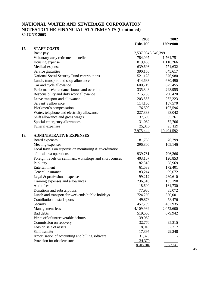|     |                                                           | 2003               | 2002            |
|-----|-----------------------------------------------------------|--------------------|-----------------|
|     |                                                           | <b>Ushs'000</b>    | <b>Ushs'000</b> |
| 17. | <b>STAFF COSTS</b>                                        |                    |                 |
|     | Basic pay                                                 | 2,537,9043,046,399 |                 |
|     | Voluntary early retirement benefits                       | 784,097            | 1,764,751       |
|     | Housing expense                                           | 819,463            | 1,110,266       |
|     | Medical expense                                           | 639,696            | 771,632         |
|     | Service gratuities                                        | 390,156            | 645,617         |
|     | National Social Security Fund contributions               | 521,128            | 576,980         |
|     | Lunch, transport and soap allowance                       | 414,683            | 630,490         |
|     | Car and cycle allowance                                   | 600,719            | 625,455         |
|     | Performance/attendance bonus and overtime                 | 335,848            | 298,955         |
|     | Responsibility and dirty work allowance                   | 215,708            | 290,420         |
|     | Leave transport and allowance                             | 203,555            | 262,223         |
|     | Servant's allowance                                       | 114,166            | 137,570         |
|     | Workmen's compensation                                    | 76,500             | 107,596         |
|     | Water, telephone and electricity allowance                | 227,833            | 93,042          |
|     | Shift allowance and gross wages                           | 37,590             | 55,361          |
|     | Special emergency allowances                              | 31,082             | 52,706          |
|     | Funeral expenses                                          | 25,316             | 25,129          |
|     |                                                           | 7,975,444          | 10,494,592      |
| 18. | <b>ADMINISTRATIVE EXPENSES</b>                            |                    |                 |
|     | Board expenses                                            | 81,735             | 76,299          |
|     | Meeting expenses                                          | 296,800            | 105,146         |
|     | Local travels on supervision monitoring $&$ co-ordination |                    |                 |
|     | of local area operations                                  | 939,761            | 706,266         |
|     | Foreign travels on seminars, workshops and short courses  | 403,167            | 120,853         |
|     | Publicity                                                 | 182,818            | 58,969          |
|     | Entertainment                                             | 61,533             | 172,401         |
|     | General insurance                                         | 83,214             | 99,072          |
|     | Legal & professional expenses                             | 199,212            | 280,610         |
|     | Training expenses and allowances                          | 236,510            | 135,190         |
|     | Audit fees                                                | 118,600            | 161,730         |
|     | Donations and subscriptions                               | 77,980             | 35,072          |
|     | Lunch and transport for weekends/public holidays          | 724,259            | 320,001         |
|     | Contribution to staff sports                              | 49,878             | 58,476          |
|     | Security                                                  | 457,799            | 432,935         |
|     | Management fees                                           | 4,109,989          | 2,072,600       |
|     | Bad debts                                                 | 519,500            | 679,942         |
|     | Write off of unrecoverable debtors                        | 39,062             |                 |
|     | Commission on recovery                                    | 32,770             | 95,315          |
|     | Loss on sale of assets                                    | 8,018              | 82,717          |
|     | Staff transfer                                            | 17,397             | 29,248          |
|     | Amortisation of accounting and billing software           | 31,323             |                 |
|     | Provision for obsolete stock                              | 34,379             |                 |
|     |                                                           | 8,705,704          | 5,722,841       |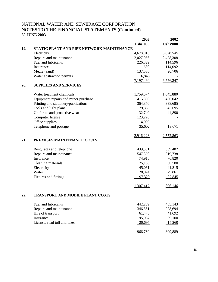|     |                                           | 2003            | 2002            |
|-----|-------------------------------------------|-----------------|-----------------|
|     |                                           | <b>Ushs'000</b> | <b>Ushs'000</b> |
| 19. | STATIC PLANT AND PIPE NETWORK MAINTENANCE |                 |                 |
|     | Electricity                               | 4,678,016       | 3,878,545       |
|     | Repairs and maintenance                   | 2,027,056       | 2,428,308       |
|     | Fuel and lubricants                       | 226,329         | 114,596         |
|     | Insurance                                 | 111,630         | 114,092         |
|     | Media (sand)                              | 137,586         | 20,706          |
|     | Water abstraction permits                 | 16,843          |                 |
|     |                                           | 7,197,460       | 6,556,247       |
| 20. | <b>SUPPLIES AND SERVICES</b>              |                 |                 |
|     | Water treatment chemicals                 | 1,759,674       | 1,643,880       |
|     | Equipment repairs and minor purchase      | 415,850         | 466,042         |
|     | Printing and stationery/publications      | 364,870         | 338,685         |
|     | Tools and light plant                     | 79,358          | 45,695          |
|     | Uniforms and protective wear              | 132,740         | 44,890          |
|     | Computer license                          | 123,226         |                 |
|     | Office supplies                           | 4,903           |                 |
|     | Telephone and postage                     | 35,602          | 13,671          |
|     |                                           | 2,916,223       | 2,552,863       |
| 21. | PREMISES MAINTENANCE COSTS                |                 |                 |
|     | Rent, rates and telephone                 | 439,501         | 339,487         |
|     | Repairs and maintenance                   | 547,350         | 319,738         |
|     | Insurance                                 | 74,916          | 76,820          |
|     | Cleaning materials                        | 75,186          | 60,580          |
|     | Electricity                               | 45,061          | 41,815          |
|     | Water                                     | 28,074          | 29,861          |
|     | Fixtures and fittings                     | 97,329          | 27,845          |
|     |                                           | 1,307,417       | 896,146         |
| 22. | <b>TRANSPORT AND MOBILE PLANT COSTS</b>   |                 |                 |
|     | Fuel and lubricants                       | 442,259         | 435,143         |
|     | Repairs and maintenance                   | 346,351         | 278,694         |
|     | Hire of transport                         | 61,475          | 41,692          |
|     | Insurance                                 | 95,987          | 39,100          |
|     | License, road toll and taxes              | 20,697          | 15,260          |
|     |                                           | 966,769         | 809,889         |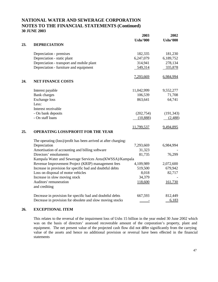|     |                                                                 | 2003            | 2002            |
|-----|-----------------------------------------------------------------|-----------------|-----------------|
|     |                                                                 | <b>Ushs'000</b> | <b>Ushs'000</b> |
| 23. | <b>DEPRECIATION</b>                                             |                 |                 |
|     | Depreciation - premises                                         | 182,335         | 181,230         |
|     | Depreciation - static plant                                     | 6,247,079       | 6,189,752       |
|     | Depreciation - transport and mobile plant                       | 314,941         | 278,134         |
|     | Depreciation - furniture and equipment                          | 549,314         | 335,878         |
|     |                                                                 | 7,293,669       | 6,984,994       |
| 24. | <b>NET FINANCE COSTS</b>                                        |                 |                 |
|     | Interest payable                                                | 11,042,999      | 9,552,277       |
|     | <b>Bank</b> charges                                             | 106,539         | 71,708          |
|     | <b>Exchange</b> loss                                            | 863,641         | 64,741          |
|     | Less:                                                           |                 |                 |
|     | Interest receivable                                             |                 |                 |
|     | - On bank deposits                                              | (202, 754)      | (191, 343)      |
|     | - On staff loans                                                | (10,888)        | (2,488)         |
|     |                                                                 | 11,799,537      | 9,494,895       |
| 25. | <b>OPERATING LOSS/PROFIT FOR THE YEAR</b>                       |                 |                 |
|     | The operating (loss)/profit has been arrived at after charging: |                 |                 |
|     | Depreciation                                                    | 7,293,669       | 6,984,994       |
|     | Amortisation of accounting and billing software                 | 31,323          |                 |
|     | Directors' emoluments                                           | 81,735          | 76,299          |
|     | Kampala Water and Sewerage Services Area(KWSSA)/Kampala         |                 |                 |
|     | Revenue Improvement Project (KRIP) management fees              | 4,109,989       | 2,072,600       |
|     | Increase in provision for specific bad and doubtful debts       | 519,500         | 679,942         |
|     | Loss on disposal of motor vehicles                              | 8,018           | 82,717          |
|     | Increase in slow moving stock                                   | 34,379          |                 |
|     | Auditors' remuneration<br>and crediting                         | 118,600         | 161,730         |
|     | Decrease in provision for specific bad and doubtful debts       | 667,593         | 812,449         |
|     | Decrease in provision for obsolete and slow moving stocks       |                 | 6,183           |

#### **26. EXCEPTIONAL ITEM**

This relates to the reversal of the impairment loss of Ushs 15 billion in the year ended 30 June 2002 which was on the basis of directors' assessed recoverable amount of the corporation's property, plant and equipment. The net present value of the projected cash flow did not differ significantly from the carrying value of the assets and hence no additional provision or reversal have been effected in the financial statements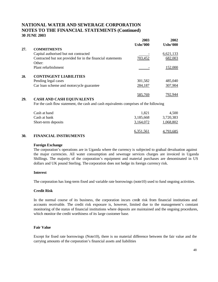|     |                                                                                       | 2003            | 2002            |
|-----|---------------------------------------------------------------------------------------|-----------------|-----------------|
|     |                                                                                       | <b>Ushs'000</b> | <b>Ushs'000</b> |
| 27. | <b>COMMITMENTS</b>                                                                    |                 |                 |
|     | Capital authorised but not contracted                                                 |                 | 6,621,133       |
|     | Contracted but not provided for in the financial statements                           | 703,452         | 682,003         |
|     | Other:                                                                                |                 |                 |
|     | Plant refurbishment                                                                   |                 | <u>152,000</u>  |
| 28. | <b>CONTINGENT LIABILITIES</b>                                                         |                 |                 |
|     | Pending legal cases                                                                   | 301,582         | 485,040         |
|     | Car loan scheme and motorcycle guarantee                                              | 284,187         | 307,904         |
|     |                                                                                       | 585,769         | <u>792,944</u>  |
| 29. | <b>CASH AND CASH EQUIVALENTS</b>                                                      |                 |                 |
|     | For the cash flow statement, the cash and cash equivalents comprises of the following |                 |                 |
|     | Cash at hand                                                                          | 1,821           | 4,500           |
|     | Cash at bank                                                                          | 3,185,668       | 3,720,383       |
|     | Short-term deposits                                                                   | 3,164,072       | 1,068,802       |
|     |                                                                                       |                 |                 |

#### **30. FINANCIAL INSTRUMENTS**

#### **Foreign Exchange**

The corporation's operations are in Uganda where the currency is subjected to gradual devaluation against the major currencies. All water consumption and sewerage services charges are invoiced in Uganda Shillings. The majority of the corporation's equipment and material purchases are denominated in US dollars and UK pound Sterling. The corporation does not hedge its foreign currency risk.

6,351,561 4,793,685

#### **Interest**

The corporation has long-term fixed and variable rate borrowings (note10) used to fund ongoing activities.

#### **Credit Risk**

In the normal course of its business, the corporation incurs credit risk from financial institutions and accounts receivable. The credit risk exposure is, however, limited due to the management's constant monitoring of the status of financial institutions where deposits are maintained and the ongoing procedures, which monitor the credit worthiness of its large customer base.

#### **Fair Value**

Except for fixed rate borrowings (Note10), there is no material difference between the fair value and the carrying amounts of the corporation's financial assets and liabilities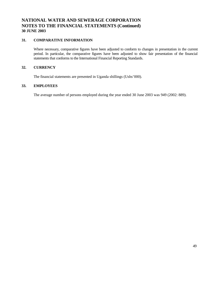#### **31. COMPARATIVE INFORMATION**

Where necessary, comparative figures have been adjusted to conform to changes in presentation in the current period. In particular, the comparative figures have been adjusted to show fair presentation of the financial statements that conforms to the International Financial Reporting Standards.

#### **32. CURRENCY**

The financial statements are presented in Uganda shillings (Ushs'000).

#### **33. EMPLOYEES**

The average number of persons employed during the year ended 30 June 2003 was 949 (2002: 889).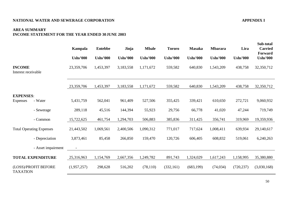#### **AREA SUMMARY INCOME STATEMENT FOR THE YEAR ENDED 30 JUNE 2003**

|                                      |                                 | Kampala         | <b>Entebbe</b>  | Jinja           | <b>Mbale</b>    | <b>Tororo</b>   | <b>Masaka</b>   | <b>Mbarara</b>  | Lira            | Sub-total<br><b>Carried</b><br>Forward |
|--------------------------------------|---------------------------------|-----------------|-----------------|-----------------|-----------------|-----------------|-----------------|-----------------|-----------------|----------------------------------------|
|                                      |                                 | <b>Ushs'000</b> | <b>Ushs'000</b> | <b>Ushs'000</b> | <b>Ushs'000</b> | <b>Ushs'000</b> | <b>Ushs'000</b> | <b>Ushs'000</b> | <b>Ushs'000</b> | <b>Ushs'000</b>                        |
| <b>INCOME</b><br>Interest receivable |                                 | 23,359,706      | 1,453,397       | 3,183,558       | 1,171,672       | 559,582         | 640,830         | 1,543,209       | 438,758         | 32,350,712                             |
|                                      |                                 | 23,359,706      | 1,453,397       | 3,183,558       | 1,171,672       | 559,582         | 640,830         | 1,543,209       | 438,758         | 32,350,712                             |
| <b>EXPENSES:</b>                     |                                 |                 |                 |                 |                 |                 |                 |                 |                 |                                        |
| <b>Expenses</b>                      | - Water                         | 5,431,759       | 562,041         | 961,409         | 527,506         | 355,425         | 339,421         | 610,650         | 272,721         | 9,060,932                              |
|                                      | - Sewerage                      | 289,118         | 45,516          | 144,394         | 55,923          | 29,756          | 66,778          | 41,020          | 47,244          | 719,749                                |
|                                      | - Common                        | 15,722,625      | 461,754         | 1,294,703       | 506,883         | 385,836         | 311,425         | 356,741         | 319,969         | 19,359,936                             |
|                                      | <b>Total Operating Expenses</b> | 21,443,502      | 1,069,561       | 2,400,506       | 1,090,312       | 771,017         | 717,624         | 1,008,411       | 639,934         | 29,140,617                             |
|                                      | - Depreciation                  | 3,873,461       | 85,458          | 266,850         | 159,470         | 120,726         | 606,405         | 608,832         | 519,061         | 6,240,263                              |
|                                      | - Asset impairment              |                 |                 |                 |                 |                 |                 |                 |                 |                                        |
|                                      | <b>TOTAL EXPENDITURE</b>        | 25,316,963      | 1,154,769       | 2,667,356       | 1,249,782       | 891,743         | 1,324,029       | 1,617,243       | 1,158,995       | 35,380,880                             |
| <b>TAXATION</b>                      | (LOSS)/PROFIT BEFORE            | (1,957,257)     | 298,628         | 516,202         | (78, 110)       | (332, 161)      | (683, 199)      | (74, 034)       | (720, 237)      | (3,030,168)                            |

**Sub-total**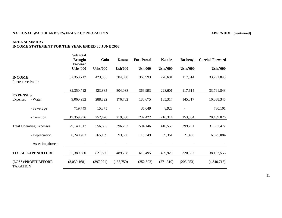#### **NATIONAL WATER AND SEWERAGE CORPORATION APPENDIX I (continued)**

# **AREA SUMMARY**

#### **INCOME STATEMENT FOR THE YEAR ENDED 30 JUNE 2003**

|                                                | Sub total<br><b>Brought</b><br>Forward | Gulu            | <b>Kasese</b>  | <b>Fort Portal</b> | <b>Kabale</b>   | <b>Bushenyi</b>          | <b>Carried Forward</b> |
|------------------------------------------------|----------------------------------------|-----------------|----------------|--------------------|-----------------|--------------------------|------------------------|
|                                                | <b>Ushs'000</b>                        | <b>Ushs'000</b> | <b>Ush'000</b> | <b>Ush'000</b>     | <b>Ushs'000</b> | <b>Ushs'000</b>          | <b>Ushs'000</b>        |
| <b>INCOME</b><br>Interest receivable           | 32,350,712                             | 423,885         | 304,038        | 366,993            | 228,601         | 117,614                  | 33,791,843             |
|                                                | 32,350,712                             | 423,885         | 304,038        | 366,993            | 228,601         | 117,614                  | 33,791,843             |
| <b>EXPENSES:</b><br>- Water<br><b>Expenses</b> | 9,060,932                              | 288,822         | 176,782        | 180,675            | 185,317         | 145,817                  | 10,038,345             |
| - Sewerage                                     | 719,749                                | 15,375          |                | 36,049             | 8,928           | $\overline{\phantom{a}}$ | 780,101                |
| - Common                                       | 19,359,936                             | 252,470         | 219,500        | 287,422            | 216,314         | 153,384                  | 20,489,026             |
| <b>Total Operating Expenses</b>                | 29,140,617                             | 556,667         | 396,282        | 504,146            | 410,559         | 299,201                  | 31,307,472             |
| - Depreciation                                 | 6,240,263                              | 265,139         | 93,506         | 115,349            | 89,361          | 21,466                   | 6,825,084              |
| - Asset impairment                             |                                        |                 |                |                    |                 |                          |                        |
| <b>TOTAL EXPENDITURE</b>                       | 35,380,880                             | 821,806         | 489,788        | 619,495            | 499,920         | 320,667                  | 38,132,556             |
| (LOSS)/PROFIT BEFORE<br><b>TAXATION</b>        | (3,030,168)                            | (397, 921)      | (185,750)      | (252,502)          | (271,319)       | (203, 053)               | (4,340,713)            |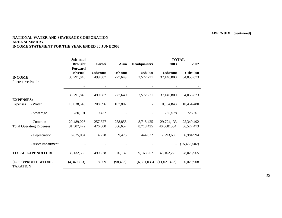#### **NATIONAL WATER AND SEWERAGE CORPORATION AREA SUMMARY INCOME STATEMENT FOR THE YEAR ENDED 30 JUNE 2003**

|                                         |                    | Sub-total                 |                 |                |                          |                 | <b>TOTAL</b>    |
|-----------------------------------------|--------------------|---------------------------|-----------------|----------------|--------------------------|-----------------|-----------------|
|                                         |                    | <b>Brought</b><br>Forward | Soroti          | <b>Arua</b>    | <b>Headquarters</b>      | 2003            | 2002            |
|                                         |                    | <b>Ushs'000</b>           | <b>Ushs'000</b> | <b>Ush'000</b> | <b>Ush'000</b>           | <b>Ushs'000</b> | <b>Ushs'000</b> |
| <b>INCOME</b>                           |                    | 33,791,843                | 499,087         | 277,649        | 2,572,221                | 37,140,800      | 34,053,873      |
| Interest receivable                     |                    |                           |                 |                |                          |                 |                 |
|                                         |                    |                           |                 |                |                          |                 |                 |
|                                         |                    | 33,791,843                | 499,087         | 277,649        | 2,572,221                | 37,140,800      | 34,053,873      |
| <b>EXPENSES:</b>                        |                    |                           |                 |                |                          |                 |                 |
| <b>Expenses</b>                         | - Water            | 10,038,345                | 208,696         | 107,802        | $\overline{\phantom{a}}$ | 10,354,843      | 10,454,480      |
|                                         | - Sewerage         | 780,101                   | 9,477           |                |                          | 789,578         | 723,501         |
|                                         | - Common           | 20,489,026                | 257,827         | 258,855        | 8,718,425                | 29,724,133      | 25,349,492      |
| <b>Total Operating Expenses</b>         |                    | 31,307,472                | 476,000         | 366,657        | 8,718,425                | 40,8681554      | 36,527,473      |
|                                         | - Depreciation     | 6,825,084                 | 14,278          | 9,475          | 444,832                  | 7,293,669       | 6,984,994       |
|                                         | - Asset impairment |                           |                 |                |                          |                 | (15, 488, 502)  |
| <b>TOTAL EXPENDITURE</b>                |                    | 38,132,556                | 490,278         | 376,132        | 9,163,257                | 48,162,223      | 28,023,965      |
| (LOSS)/PROFIT BEFORE<br><b>TAXATION</b> |                    | (4,340,713)               | 8,809           | (98, 483)      | (6,591,036)              | (11, 021, 423)  | 6,029,908       |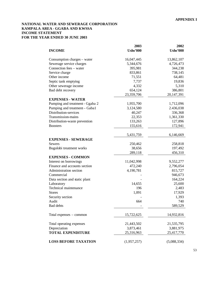#### **NATIONAL WATER AND SEWERAGE CORPORATION KAMPALA AREA - GGABA AND KWSSA INCOME STATEMENT FOR THE YEAR ENDED 30 JUNE 2003**

|                                 | 2003            | 2002            |
|---------------------------------|-----------------|-----------------|
| <b>INCOME</b>                   | <b>Ushs'000</b> | <b>Ushs'000</b> |
| Consumption charges – water     | 16,047,445      | 13,862,107      |
| Sewerage service charges        | 5,344,676       | 4,726,473       |
| Connection fees - water         | 395,981         | 344,238         |
| Service charge                  | 833,861         | 738,145         |
| Other income                    | 71,551          | 64,481          |
| Septic tank emptying            | 7,737           | 19,836          |
| Other sewerage income           | 4,332           | 5,310           |
| Bad debt recovery               | 654,124         | 386,801         |
|                                 | 23,359,706      | 20, 147, 391    |
| <b>EXPENSES - WATER</b>         |                 |                 |
| Pumping and treatment - Ggaba 2 | 1,955,700       | 1,712,096       |
| Pumping and treatment - Gaba1   | 3,124,580       | 2.436,038       |
| Distribution-services           | 40,247          | 336,368         |
| Transmission-mains              | 22,353          | 1,361,330       |
| Distribution-waste prevention   | 133,263         | 127,896         |
| <b>Boosters</b>                 | 155,616         | 172,941         |
|                                 |                 |                 |
|                                 | 5,431,759       | 6,146,669       |
| <b>EXPENSES - SEWERAGE</b>      |                 |                 |
| <b>Sewers</b>                   | 250,462         | 258,818         |
| Bugolobi treatment works        | 38,656          | 197,492         |
|                                 | 289,118         | 456,310         |
| <b>EXPENSES - COMMON</b>        |                 |                 |
| Interest on borrowings          | 11,042,998      | 9,552,277       |
| Finance and accounts section    | 472,240         | 2,796,054       |
| Administration section          | 4,190,781       | 815,727         |
| Commercial                      |                 | 946,673         |
| Data section and static plant   |                 | 164,224         |
| Laboratory                      | 14,655          | 25,600          |
| <b>Technical maintenance</b>    | 196             | 2,483           |
| <b>Stores</b>                   | 1,091           | 17,929          |
| Security section                |                 | 1,393           |
| Audit                           | 664             | 740             |
| Bad debts                       |                 | 589,529         |
| Total expenses – common         | 15,722,625      | 14,932,816      |
| Total operating expenses        | 21,443,502      | 21,535,795      |
| Depreciation                    | 3,873,461       | 3,881,975       |
| <b>TOTAL EXPENDITURE</b>        | 25,316,963      | 25,417,770      |
|                                 |                 |                 |
| <b>LOSS BEFORE TAXATION</b>     | (1,957,257)     | (5,088,334)     |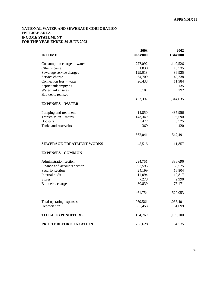#### **NATIONAL WATER AND SEWERAGE CORPORATION ENTEBBE AREA INCOME STATEMENT FOR THE YEAR ENDED 30 JUNE 2003**

|                                 | 2003            | 2002            |
|---------------------------------|-----------------|-----------------|
| <b>INCOME</b>                   | <b>Ushs'000</b> | <b>Ushs'000</b> |
| Consumption charges - water     | 1,227,092       | 1,149,526       |
| Other income                    | 1,038           | 16,535          |
| Sewerage service charges        | 129,018         | 86,925          |
| Service charge                  | 64,709          | 49,238          |
| Connection fees - water         | 26,438          | 11,984          |
| Septic tank emptying            |                 | 135             |
| Water tanker sales              | 5,101           | 292             |
| Bad debts realised              |                 |                 |
|                                 | 1,453,397       | 1,314,635       |
| <b>EXPENSES - WATER</b>         |                 |                 |
| Pumping and treatment           | 414,850         | 435,956         |
| Transmission - mains            | 143,349         | 105,590         |
| <b>Boosters</b>                 | 3,472           | 5,525           |
| Tanks and reservoirs            | 369             | 420             |
|                                 | 562,041         | 547,491         |
| <b>SEWERAGE TREATMENT WORKS</b> | 45,516          | 11,857          |
| <b>EXPENSES - COMMON</b>        |                 |                 |
| Administration section          | 294,751         | 336,696         |
| Finance and accounts section    | 93,593          | 86,575          |
| Security section                | 24,199          | 16,804          |
| Internal audit                  | 11,094          | 10,817          |
| <b>Stores</b>                   | 7,278           | 2,990           |
| Bad debts charge                | 30,839          | 75,171          |
|                                 | 461,754         | 529,053         |
| Total operating expenses        | 1,069,561       | 1,088,401       |
| Depreciation                    | 85,458          | 61,699          |
| <b>TOTAL EXPENDITURE</b>        | 1,154,769       | 1,150,100       |
| PROFIT BEFORE TAXATION          | 298,628         | 164,535         |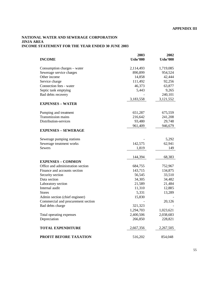#### **NATIONAL WATER AND SEWERAGE CORPORATION JINJA AREA INCOME STATEMENT FOR THE YEAR ENDED 30 JUNE 2003**

|                                    | 2003            | 2002            |
|------------------------------------|-----------------|-----------------|
| <b>INCOME</b>                      | <b>Ushs'000</b> | <b>Ushs'000</b> |
| Consumption charges – water        | 2,114,493       | 1,719,085       |
| Sewerage service charges           | 890,899         | 954,524         |
| Other income                       | 14,858          | 42,444          |
| Service charge                     | 111,492         | 92,256          |
| Connection fees - water            | 46,373          | 63,877          |
| Septic tank emptying               | 5,443           | 9,265           |
| Bad debts recovery                 |                 | 240,101         |
|                                    | 3,183,558       | 3,121,552       |
| <b>EXPENSES - WATER</b>            |                 |                 |
| Pumping and treatment              | 651,287         | 675,559         |
| Transmission mains                 | 216,642         | 241,208         |
| Distribution-services              | 93,480          | 29,748          |
|                                    | 961,409         | 946,679         |
| <b>EXPENSES - SEWERAGE</b>         |                 |                 |
| Sewerage pumping stations          |                 | 5,292           |
| Sewerage treatment works           | 142,575         | 62,941          |
| <b>Sewers</b>                      | 1,819           | 149             |
|                                    |                 |                 |
|                                    | 144,394         | 68,383          |
| <b>EXPENSES - COMMON</b>           |                 |                 |
| Office and administration section  | 684,755         | 752,967         |
| Finance and accounts section       | 143,715         | 134,875         |
| Security section                   | 56,545          | 33,510          |
| Data section                       | 34,305          | 34,482          |
| Laboratory section                 | 21,589          | 21,484          |
| Internal audit                     | 11,310          | 12,885          |
| <b>Stores</b>                      | 5,331           | 13,289          |
| Admin section (chief engineer)     | 15,830          |                 |
| Commercial and procurement section |                 | 20,126          |
| Bad debts charge                   | 321,323         |                 |
|                                    | 1,294,703       | 1,023,621       |
| Total operating expenses           | 2,400,506       | 2,038,683       |
| Depreciation                       | 266,850         | 228,821         |
| <b>TOTAL EXPENDITURE</b>           | 2,667,356       | 2,267,505       |
| <b>PROFIT BEFORE TAXATION</b>      | 516,202         | 854,048         |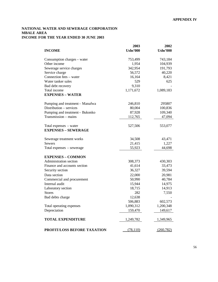#### **NATIONAL WATER AND SEWERAGE CORPORATION MBALE AREA INCOME FOR THE YEAR ENDED 30 JUNE 2003**

|                                 | 2003            | 2002            |
|---------------------------------|-----------------|-----------------|
| <b>INCOME</b>                   | <b>Ushs'000</b> | <b>Ushs'000</b> |
| Consumption charges – water     | 753,499         | 743,184         |
| Other income                    | 1,954           | 104,939         |
| Sewerage service charges        | 342,954         | 191,793         |
| Service charge                  | 56,572          | 40,220          |
| Connection fees – water         | 16,164          | 8,421           |
| Water tanker sales              | 529             | 625             |
| Bad debt recovery               | 9,310           |                 |
| Total income                    | 1,171,672       | 1,089,183       |
| <b>EXPENSES - WATER</b>         |                 |                 |
| Pumping and treatment - Manafwa | 246,810         | 295807          |
| Distribution - services         | 80,004          | 100,836         |
| Pumping and treatment - Bukonko | 87,928          | 109,340         |
| Transmission - mains            | 112,765         | 47,094          |
| Total expenses - water          | 527,506         | 553,077         |
| <b>EXPENSES - SEWERAGE</b>      |                 |                 |
| Sewerage treatment works        | 34,508          | 43,471          |
| <b>Sewers</b>                   | 21,415          | 1,227           |
| Total expenses – sewerage       | 55,923          | 44,698          |
| <b>EXPENSES - COMMON</b>        |                 |                 |
| Administration section          | 308,373         | 430,303         |
| Finance and accounts section    | 41,614          | 33,473          |
| Security section                | 36,327          | 39,594          |
| Data section                    | 22,000          | 20,981          |
| Commercial and procurement      | 50,990          | 40,784          |
| Internal audit                  | 15,944          | 14,975          |
| Laboratory section              | 18,715          | 14,913          |
| <b>Stores</b>                   | 282             | 7,550           |
| Bad debts charge                | 12,638          |                 |
|                                 | 506,883         | 602,573         |
| Total operating expenses        | 1,090,312       | 1,200,348       |
| Depreciation                    | 159,470         | 149,617         |
| <b>TOTAL EXPENDITURE</b>        | 1,249,782       | 1,349,965       |
| PROFIT/LOSS BEFORE TAXATION     | (78, 110)       | (260, 782)      |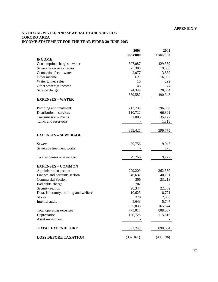#### **APPENDIX V**

#### **NATIONAL WATER AND SEWERAGE CORPORATION TORORO AREA INCOME STATEMENT FOR THE YEAR ENDED 30 JUNE 2003**

|                                        | 2003            | 2002            |
|----------------------------------------|-----------------|-----------------|
|                                        | <b>Ushs'000</b> | <b>Ushs'000</b> |
| <b>INCOME</b>                          |                 |                 |
| Consumption charges - water            | 507,087         | 429,559         |
| Sewerage service charges               | 25,388          | 19,608          |
| Connection fees - water                | 2,077           | 3,889           |
| Other income                           | 621             | 16,032          |
| Water tanker sales                     | 15              | 292             |
| Other sewerage income                  | 45              | 74              |
| Service charge                         | 24,349          | 20,894          |
|                                        | 559,582         | 490,348         |
| <b>EXPENSES - WATER</b>                |                 |                 |
| Pumping and treatment                  | 213,700         | 296,958         |
| Distribution - services                | 110,722         | 66,321          |
| Transmission - mains                   | 31,003          | 35,177          |
| Tanks and reservoirs                   |                 | 1,318           |
|                                        |                 |                 |
|                                        | 355,425         | 399,775         |
| <b>EXPENSES - SEWERAGE</b>             |                 |                 |
| <b>Sewers</b>                          | 29,756          | 9,047           |
| Sewerage treatment works               |                 | 175             |
|                                        |                 |                 |
| Total expenses – sewerage              | 29,756          | 9,222           |
| <b>EXPENSES - COMMON</b>               |                 |                 |
| Administration section                 | 299,209         | 262,330         |
| Finance and accounts section           | 40,637          | 40,131          |
| <b>Commercial Section</b>              | 306             | 23,213          |
| Bad debts charge                       | 702             |                 |
| Security section                       | 28,344          | 22,802          |
| Data, laboratory, training and welfare | 10,625          | 8,771           |
| <b>Stores</b>                          | 370             | 2,880           |
| Internal audit                         | 5,643           | 5,747           |
|                                        | 385,836         | 365,874         |
| Total operating expenses               | 771,017         | 808,087         |
| Depreciation                           | 120,726         | 115,815         |
| Asset impairment                       |                 |                 |
| <b>TOTAL EXPENDITURE</b>               | 891,743         | 890,684         |
| <b>LOSS BEFORE TAXATION</b>            | (332, 161)      | (400, 336)      |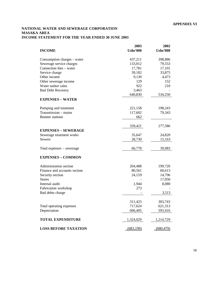#### **NATIONAL WATER AND SEWERAGE CORPORATION MASAKA AREA INCOME STATEMENT FOR THE YEAR ENDED 30 JUNE 2003**

|                              | 2003            | 2002            |
|------------------------------|-----------------|-----------------|
| <b>INCOME</b>                | <b>Ushs'000</b> | <b>Ushs'000</b> |
| Consumption charges – water  | 437,211         | 398,886         |
| Sewerage service charges     | 133,012         | 79,553          |
| Connection fees – water      | 17,781          | 17,101          |
| Service charge               | 39,182          | 33,875          |
| Other income                 | 9,130           | 4,473           |
| Other sewerage income        | 129             | 152             |
| Water tanker sales           | 922             | 210             |
| <b>Bad Debt Recovery</b>     | 3,463           |                 |
|                              | 640,830         | 534,250         |
| <b>EXPENSES - WATER</b>      |                 |                 |
| Pumping and treatment        | 221,158         | 198,243         |
| Transmission - mains         | 117,602         | 79,343          |
| <b>Booster</b> stations      | 662             |                 |
|                              | 339,421         | 277,586         |
| <b>EXPENSES - SEWERAGE</b>   |                 |                 |
| Sewerage treatment works     | 35,647          | 24,820          |
| <b>Sewers</b>                | 28,730          | 15,163          |
|                              |                 |                 |
| Total expenses – sewerage    | 66,778          | 39,983          |
| <b>EXPENSES - COMMON</b>     |                 |                 |
| Administration section       | 204,488         | 199,720         |
| Finance and accounts section | 80,561          | 60,613          |
| Security section             | 24,159          | 14,796          |
| <b>Stores</b>                |                 | 17,050          |
| Internal audit               | 1,944           | 8,080           |
| Fabrication workshop         | 273             |                 |
| Bad debts charge             |                 | 3,513           |
|                              | 311,425         | 303,743         |
| Total operating expenses     | 717,624         | 621,313         |
| Depreciation                 | 606,405         | 593,416         |
| <b>TOTAL EXPENDITURE</b>     | 1,324,029       | 1,214,729       |
| <b>LOSS BEFORE TAXATION</b>  | (683, 199)      | (680, 479)      |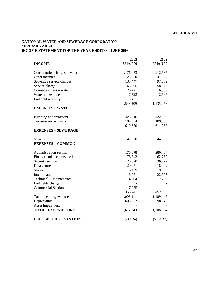#### **NATIONAL WATER AND SEWERAGE CORPORATION MBARARA AREA INCOME STATEMENT FOR THE YEAR ENDED 30 JUNE 2003**

|                              | 2003            | 2002            |
|------------------------------|-----------------|-----------------|
| <b>INCOME</b>                | <b>Ushs'000</b> | <b>Ushs'000</b> |
| Consumption charges – water  | 1,171,073       | 912,535         |
| Other incomes                | 128,850         | 47,004          |
| Sewerage service charges     | 135,447         | 97,862          |
| Service charge               | 65,395          | 58,142          |
| Connection fees - water      | 26,271          | 16,950          |
| Water tanker sales           | 7,722           | 2,565           |
| Bad debt recovery            | 8,451           |                 |
|                              | 1,543,209       | 1,135,058       |
| <b>EXPENSES - WATER</b>      |                 |                 |
| Pumping and treatment        | 426,316         | 422,599         |
| Transmission - mains         | 184,334         | 189,360         |
|                              | 610,650         | 611,958         |
| <b>EXPENSES – SEWERAGE</b>   |                 |                 |
| Sewers                       | 41,020          | 44,933          |
| <b>EXPENSES - COMMON</b>     |                 |                 |
| Administration section       | 176,378         | 280,404         |
| Finance and accounts section | 78,343          | 62,762          |
| Security section             | 25,820          | 36,227          |
| Data centre                  | 20,971          | 18,492          |
| <b>Stores</b>                | 16,469          | 19,388          |
| Internal audit               | 16,061          | 22,993          |
| Technical - Maintenance      | 4,764           | 12,289          |
| Bad debts charge             |                 |                 |
| <b>Commercial Section</b>    | 17,935          |                 |
|                              | 356,741         | 452,555         |
| Total operating expenses     | 1,008,411       | 1,109,446       |
| Depreciation                 | 608,832         | 598,648         |
| Asset impairment             |                 |                 |
| <b>TOTAL EXPENDITURE</b>     | 1,617,243       | 1,708,094       |
| <b>LOSS BEFORE TAXATION</b>  | (74, 034)       | (573, 037)      |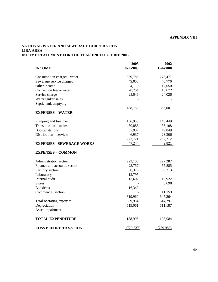#### **APPENDIX VIII**

#### **NATIONAL WATER AND SEWERAGE CORPORATION LIRA AREA INCOME STATEMENT FOR THE YEAR ENDED 30 JUNE 2003**

|                                  | 2003            | 2002            |
|----------------------------------|-----------------|-----------------|
| <b>INCOME</b>                    | <b>Ushs'000</b> | <b>Ushs'000</b> |
| Consumption charges - water      | 339,786         | 273,477         |
| Sewerage service charges         | 49,053          | 40,776          |
| Other income                     | 4,119           | 17,050          |
| Connection fees – water          | 20,754          | 10,672          |
| Service charge                   | 25,046          | 24,026          |
| Water tanker sales               |                 |                 |
| Septic tank emptying             |                 |                 |
|                                  | 438,758         | 366,001         |
| <b>EXPENSES - WATER</b>          |                 |                 |
| Pumping and treatment            | 156,958         | 148,449         |
| Transmission - mains             | 50,888          | 36,108          |
| <b>Booster</b> stations          | 57,937          | 49,849          |
| Distribution - services          | 6,937           | 23,306          |
|                                  | 272,721         | 257,712         |
| <b>EXPENSES - SEWERAGE WORKS</b> | 47,244          | 9,821           |
| <b>EXPENSES - COMMON</b>         |                 |                 |
| Administration section           | 223,100         | 227,287         |
| Finance and accounts section     | 23,757          | 55,885          |
| Security section                 | 30,373          | 33,313          |
| Laboratory                       | 12,795          |                 |
| Internal audit                   | 13,602          | 12,922          |
| <b>Stores</b>                    |                 | 6,698           |
| Bad debts                        | 16,342          |                 |
| Commercial section               |                 | 11,159          |
|                                  | 319,969         | 347,264         |
| Total operating expenses         | 639,934         | 614,797         |
| Depreciation                     | 519,061         | 511,187         |
| Asset impairment                 |                 |                 |
| <b>TOTAL EXPENDITURE</b>         | 1,158,995       | 1,125,984       |
| <b>LOSS BEFORE TAXATION</b>      | (720, 237)      | (759,983)       |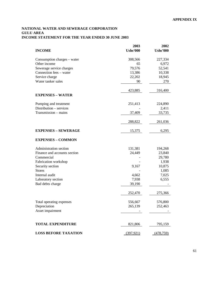#### **NATIONAL WATER AND SEWERAGE CORPORATION GULU AREA INCOME STATEMENT FOR THE YEAR ENDED 30 JUNE 2003**

|                              | 2003            | 2002             |
|------------------------------|-----------------|------------------|
| <b>INCOME</b>                | <b>Ushs'000</b> | <b>Ushs'000</b>  |
| Consumption charges – water  | 308,566         | 227,334          |
| Other income                 | 65              | 6,972            |
| Sewerage service charges     | 79,576          | 52,541           |
| Connection fees - water      | 13,386          | 10,338           |
| Service charge               | 22,202          | 18,945           |
| Water tanker sales           | 90              | 270              |
|                              | 423,885         | 316,400          |
| <b>EXPENSES - WATER</b>      |                 |                  |
| Pumping and treatment        | 251,413         | 224,890          |
| Distribution - services      |                 | 2,411            |
| Transmission - mains         | 37,409          | 33,735           |
|                              | 288,822         | 261,036          |
| <b>EXPENSES - SEWERAGE</b>   | 15,375          | 6,295            |
| <b>EXPENSES - COMMON</b>     |                 |                  |
| Administration section       | 131,381         | 194,268          |
| Finance and accounts section | 24,449          | 23,840           |
| Commercial                   |                 | 29,780           |
| Fabrication workshop         |                 | 1,938            |
| Security section             | 9,167           | 10,875           |
| <b>Stores</b>                |                 | 1,085            |
| Internal audit               | 4,662           | 7,025            |
| Laboratory section           | 7,938           | 6,555            |
| Bad debts charge             | 39,190          |                  |
|                              | 252,470         | 275,366          |
| Total operating expenses     | 556,667         | 576,800          |
| Depreciation                 | 265,139         | 252,463          |
| Asset impairment             |                 |                  |
|                              |                 |                  |
| <b>TOTAL EXPENDITURE</b>     | 821,806         | 795,159          |
| <b>LOSS BEFORE TAXATION</b>  | (397, 921)      | <u>(478,759)</u> |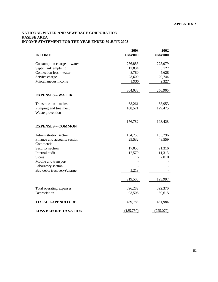#### **NATIONAL WATER AND SEWERAGE CORPORATION KASESE AREA INCOME STATEMENT FOR THE YEAR ENDED 30 JUNE 2003**

|                              | 2003            | 2002            |
|------------------------------|-----------------|-----------------|
| <b>INCOME</b>                | <b>Ushs'000</b> | <b>Ushs'000</b> |
| Consumption charges - water  | 256,888         | 225,079         |
| Septic tank emptying         | 12,834          | 3,127           |
| Connection fees - water      | 8,780           | 5,628           |
| Service charge               | 23,600          | 20,744          |
| Miscellaneous income         | 1,936           | 2,327           |
|                              | 304,038         | 256,905         |
| <b>EXPENSES - WATER</b>      |                 |                 |
| Transmission - mains         | 68,261          | 68,953          |
| Pumping and treatment        | 108,521         | 129,475         |
| Waste prevention             |                 |                 |
|                              | 176,782         | 198,428         |
| <b>EXPENSES - COMMON</b>     |                 |                 |
| Administration section       | 154,759         | 105,796         |
| Finance and accounts section | 29,532          | 48,559          |
| Commercial                   |                 |                 |
| Security section             | 17,053          | 21,316          |
| Internal audit               | 12,570          | 11,313          |
| <b>Stores</b>                | 16              | 7,010           |
| Mobile and transport         |                 |                 |
| Laboratory section           |                 |                 |
| Bad debts (recovery)/charge  | 5,213           |                 |
|                              | 219,500         | 193,997         |
| Total operating expenses     | 396,282         | 392,370         |
| Depreciation                 | 93,506          | 89,615          |
| <b>TOTAL EXPENDITURE</b>     | 489,788         | 481,984         |
| <b>LOSS BEFORE TAXATION</b>  | (185,750)       | (225,079)       |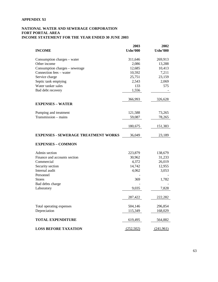#### **APPENDIX XI**

#### **NATIONAL WATER AND SEWERAGE CORPORATION FORT PORTAL AREA INCOME STATEMENT FOR THE YEAR ENDED 30 JUNE 2003**

| <b>INCOME</b>                               | 2003<br><b>Ushs'000</b> | 2002<br><b>Ushs'000</b> |
|---------------------------------------------|-------------------------|-------------------------|
|                                             |                         |                         |
| Consumption charges – water<br>Other income | 311,646<br>2,086        | 269,913<br>13,288       |
| Consumption charges – sewerage              | 12,685                  | 10,413                  |
| Connection fees - water                     | 10,592                  | 7,211                   |
| Service charge                              | 25,751                  | 23,159                  |
| Septic tank emptying                        | 2,543                   | 2,069                   |
| Water tanker sales                          | 133                     | 575                     |
| Bad debt recovery                           | 1,556                   |                         |
|                                             | 366,993                 | 326,628                 |
| <b>EXPENSES - WATER</b>                     |                         |                         |
| Pumping and treatment                       | 121,588                 | 73,265                  |
| $Transmission - mains$                      | 59,087                  | 78,265                  |
|                                             |                         |                         |
|                                             | 180,675                 | 151,383                 |
| <b>EXPENSES - SEWERAGE TREATMENT WORKS</b>  | 36,049                  | 23,189                  |
| <b>EXPENSES - COMMON</b>                    |                         |                         |
| Admin section                               | 223,879                 | 138,679                 |
| Finance and accounts section                | 30,962                  | 31,233                  |
| Commercial                                  | 4,372                   | 26,019                  |
| Security section                            | 14,742                  | 12,955                  |
| Internal audit                              | 4,062                   | 3,053                   |
| Personnel                                   |                         |                         |
| <b>Stores</b>                               | 369                     | 1,782                   |
| Bad debts charge                            |                         |                         |
| Laboratory                                  | 9,035                   | 7,828                   |
|                                             | 287,422                 | 222,282                 |
| Total operating expenses                    | 504,146                 | 296,854                 |
| Depreciation                                | 115,349                 | 168,029                 |
| <b>TOTAL EXPENDITURE</b>                    | 619,495                 | 564,882                 |
| <b>LOSS BEFORE TAXATION</b>                 | (252,502)               | (241,961)               |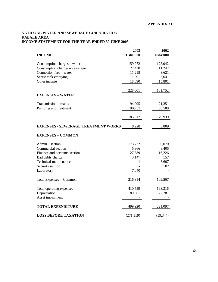#### **NATIONAL WATER AND SEWERAGE CORPORATION KABALE AREA INCOME STATEMENT FOR THE YEAR ENDED 30 JUNE 2003**

|                                            | 2003            | 2002            |
|--------------------------------------------|-----------------|-----------------|
| <b>INCOME</b>                              | <b>Ushs'000</b> | <b>Ushs'000</b> |
| Consumption charges – water                | 159,972         | 125,042         |
| Consumption charges - sewerage             | 27,430          | 11,247          |
| Connection fees - water                    | 11,218          | 3,621           |
| Septic tank emptying                       | 11,091          | 6,041           |
| Other income                               | 18,890          | 15,801          |
|                                            | 228,601         | 161,752         |
| <b>EXPENSES - WATER</b>                    |                 |                 |
| Transmission - mains                       | 94,995          | 21,351          |
| Pumping and treatment                      | 90,753          | 58,588          |
|                                            | 185,317         | 79,939          |
| <b>EXPENSES - SEWERAGE TREATMENT WORKS</b> | 8,928           | 8,809           |
| <b>EXPENSES - COMMON</b>                   |                 |                 |
| Admin – section                            | 173,772         | 80,070          |
| Commercial section                         | 5,866           | 8,405           |
| Finance and accounts section               | 27,339          | 16,226          |
| Bad debts charge                           | 3,147           | 557             |
| Technical maintenance                      | 41              | 3,607           |
| Security section                           |                 | 702             |
| Laboratory                                 | 7,040           |                 |
| Total Expenses - Common                    | 216,314         | 109,567         |
| Total operating expenses                   | 410,559         | 198,316         |
| Depreciation                               | 89,361          | 22,781          |
| Asset impairment                           |                 |                 |
| <b>TOTAL EXPENDITURE</b>                   | 499,920         | 221,097         |
| <b>LOSS BEFORE TAXATION</b>                | (271, 319)      | (59, 344)       |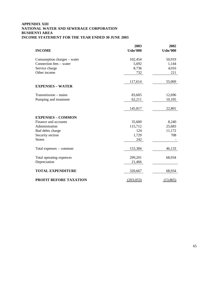#### **APPENDIX XIII NATIONAL WATER AND SEWERAGE CORPORATION BUSHENYI AREA INCOME STATEMENT FOR THE YEAR ENDED 30 JUNE 2003**

|                               | 2003            | 2002            |
|-------------------------------|-----------------|-----------------|
| <b>INCOME</b>                 | <b>Ushs'000</b> | <b>Ushs'000</b> |
| Consumption charges – water   | 102,454         | 50,919          |
| Connection fees – water       | 5,692           | 1,144           |
| Service charge                | 8,736           | 4,016           |
| Other income                  | 732             | 211             |
|                               | 117,614         | 55,069          |
| <b>EXPENSES - WATER</b>       |                 |                 |
| Transmission – mains          | 83,605          | 12,696          |
| Pumping and treatment         | 62,211          | 10,105          |
|                               |                 |                 |
|                               | 145,817         | 22,801          |
| <b>EXPENSES - COMMON</b>      |                 |                 |
| Finance and accounts          | 35,600          | 8,240           |
| Administration                | 115,712         | 25,683          |
| Bad debts charge              | 124             | 11,172          |
| Security section              | 1,729           | 708             |
| <b>Stores</b>                 | 242             |                 |
| Total expenses – common       | 153,384         | 46,133          |
| Total operating expenses      | 299,201         | 68,934          |
| Depreciation                  | 21,466          |                 |
|                               |                 |                 |
| <b>TOTAL EXPENDITURE</b>      | 320,667         | 68,934          |
| <b>PROFIT BEFORE TAXATION</b> | (203, 053)      | (13,865)        |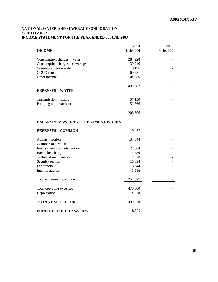#### **NATIONAL WATER AND SEWERAGE CORPORATION SOROTI AREA INCOME STATEMENT FOR THE YEAR ENDED 30 JUNE 2003**

|                                            | 2003            | 2002            |
|--------------------------------------------|-----------------|-----------------|
| <b>INCOME</b>                              | <b>Ushs'000</b> | <b>Ushs'000</b> |
| Consumption charges – water                | 284,928         |                 |
| Consumption charges - sewerage             | 30,946          |                 |
| Connection fees - water                    | 9,196           |                 |
| <b>GOU Grants</b>                          | 69,681          |                 |
| Other income                               | 104,336         |                 |
|                                            | 499,087         |                 |
| <b>EXPENSES - WATER</b>                    |                 |                 |
| Transmission - mains                       | 57,130          |                 |
| Pumping and treatment                      | 151,566         |                 |
|                                            | 208,696         |                 |
|                                            |                 |                 |
| <b>EXPENSES - SEWERAGE TREATMENT WORKS</b> |                 |                 |
| <b>EXPENSES - COMMON</b>                   | 9,477           |                 |
| Admin - section                            | 134,048         |                 |
| Commercial section                         |                 |                 |
| Finance and accounts section               | 22,664          |                 |
| Bad debts charge                           | 71,589          |                 |
| Technical maintenance                      | 2,328           |                 |
| Security section                           | 16,698          |                 |
| Laboratory                                 | 8,944           |                 |
| Internal auditor                           | 1,556           |                 |
| Total expenses - common                    | 257,827         |                 |
| Total operating expenses                   | 476,000         |                 |
| Depreciation                               | 14,278          |                 |
| <b>TOTAL EXPENDITURE</b>                   | 490,278         |                 |
|                                            |                 |                 |
| PROFIT BEFORE TAXATION                     | 8,809           |                 |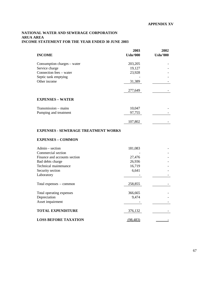#### **NATIONAL WATER AND SEWERAGE CORPORATION ARUA AREA INCOME STATEMENT FOR THE YEAR ENDED 30 JUNE 2003**

|                                            | 2003     | 2002            |
|--------------------------------------------|----------|-----------------|
| <b>INCOME</b>                              | Ushs'000 | <b>Ushs'000</b> |
| Consumption charges – water                | 203,205  |                 |
| Service charge                             | 19,127   |                 |
| Connection fees – water                    | 23,928   |                 |
| Septic tank emptying                       |          |                 |
| Other income                               | 31,389   |                 |
|                                            |          |                 |
|                                            | 277,649  |                 |
| <b>EXPENSES - WATER</b>                    |          |                 |
| Transmission – mains                       | 10,047   |                 |
| Pumping and treatment                      | 97,755   |                 |
|                                            | 107,802  |                 |
| <b>EXPENSES - SEWERAGE TREATMENT WORKS</b> |          |                 |
| <b>EXPENSES - COMMON</b>                   |          |                 |

| $Admin$ – section            | 181,083  |  |
|------------------------------|----------|--|
| Commercial section           |          |  |
| Finance and accounts section | 27,476   |  |
| Bad debts charge             | 26,936   |  |
| Technical maintenance        | 16,719   |  |
| Security section             | 6,641    |  |
| Laboratory                   |          |  |
| Total expenses – common      | 258,855  |  |
| Total operating expenses     | 366,665  |  |
| Depreciation                 | 9,474    |  |
| Asset impairment             |          |  |
| <b>TOTAL EXPENDITURE</b>     | 376,132  |  |
| <b>LOSS BEFORE TAXATION</b>  | (98,483) |  |